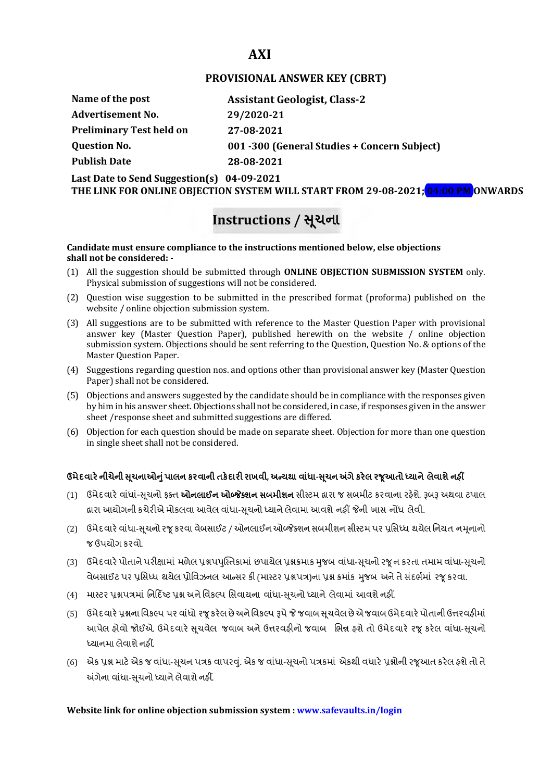## **AXI**

## **PROVISIONAL ANSWER KEY (CBRT)**

| Name of the post                | <b>Assistant Geologist, Class-2</b>          |
|---------------------------------|----------------------------------------------|
| <b>Advertisement No.</b>        | 29/2020-21                                   |
| <b>Preliminary Test held on</b> | 27-08-2021                                   |
| <b>Question No.</b>             | 001 -300 (General Studies + Concern Subject) |
| <b>Publish Date</b>             | 28-08-2021                                   |

**Last Date to Send Suggestion(s) 04-09-2021**

**THE LINK FOR ONLINE OBJECTION SYSTEM WILL START FROM 29-08-2021; 04:00 PM ONWARDS**

# **Instructions / Ʌ ૂચના**

#### **Candidate must ensure compliance to the instructions mentioned below, else objections shall not be considered: -**

- (1) All the suggestion should be submitted through **ONLINE OBJECTION SUBMISSION SYSTEM** only. Physical submission of suggestions will not be considered.
- (2) Question wise suggestion to be submitted in the prescribed format (proforma) published on the website / online objection submission system.
- (3) All suggestions are to be submitted with reference to the Master Question Paper with provisional answer key (Master Question Paper), published herewith on the website / online objection submission system. Objections should be sent referring to the Question, Question No. & options of the Master Question Paper.
- (4) Suggestions regarding question nos. and options other than provisional answer key (Master Question Paper) shall not be considered.
- (5) Objections and answers suggested by the candidate should be in compliance with the responses given by him in his answer sheet. Objections shall not be considered, in case, if responses given in the answer sheet /response sheet and submitted suggestions are differed.
- (6) Objection for each question should be made on separate sheet. Objection for more than one question in single sheet shall not be considered.

## **ઉમેદવાર°નીચેની Ʌ ૂચનાઓȵુંપાલન કરવાની તક°દાર રાખવી, અƛયથા વા ંધા-Ʌ ૂચન Ӕગેકર°લ રȩૂઆતો ƚયાને લેવાશેનહӄ**

- (1) ઉમેદવારે વાંધાં-સુચનો ફક્ત **ઓનલાઈન ઓબ્જેક્શન સબમીશન** સીસ્ટમ હ્રારા જ સબમીટ કરવાના રહેશે. રૂબરૂ અથવા ટપાલ હ્રારા આયોગની કચેરીએ મોકલવા આવેલ વાંધા-સૂચનો ધ્યાને લેવામા આવશે નહીં જેની ખાસ નોંધ લેવી.
- (2) ઉમેદવારે વાંધા-સૂચનો રજૂ કરવા વેબસાઈટ / ઓનલાઈન ઓબ્જેક્શન સબમીશન સીસ્ટમ પર પ્રસિધ્ધ થયેલ નિયત નમનાનો જ ઉપયોગ કરવો.
- (3) ઉમેદવારે પોતાને પરીક્ષામાં મળેલ પ્રશ્નપપુસ્તિકામાં છપાયેલ પ્રશ્નક્રમાક મુજબ વાંધા-સૂચનો રજૂ ન કરતા તમામ વાંધા-સૂચનો વેબસાઈટ પર પ્રસિધ્ધ થયેલ પ્રોવિઝનલ આન્સર કી (માસ્ટર પ્રશ્નપત્ર)ના પ્રશ્ન ક્રમાંક મજબ અને તે સંદર્ભમાં ૨જ કરવા.
- (4) માસ્ટર પ્રશ્નપત્રમાં નિર્દિષ્ટ પ્રશ્ન અને વિકલ્પ સિવાયના વાંધા-સચનો ધ્યાને લેવામાં આવશે નહીં.
- (5) ઉમેદવારે પ્રશ્નના વિકલ્પ પર વાંધો રજૂ કરેલ છે અને વિકલ્પ રૂપે જે જવાબ સુચવેલ છે એ જવાબ ઉમેદવારે પોતાની ઉત્તરવહીમાં આપેલ હોવો જોઈએ. ઉમેદવારે સૂચવેલ જવાબ અને ઉત્તરવહીનો જવાબ ભિન્ન હશે તો ઉમેદવારે રજૂ કરેલ વાંધા-સૂચનો ધ્યાનમા લેવાશે નહીં.
- (6) એક પ્રશ્ન માટે એક જ વાંધા-સૂચન પત્રક વાપરવું. એક જ વાંધા-સૂચનો પત્રકમાં એકથી વધારે પ્રશ્નોની રજૂઆત કરેલ હશે તો તે અંગેના વાંધા-સુચનો ધ્યાને લેવાશે નહીં.

### **Website link for online objection submission system : www.safevaults.in/login**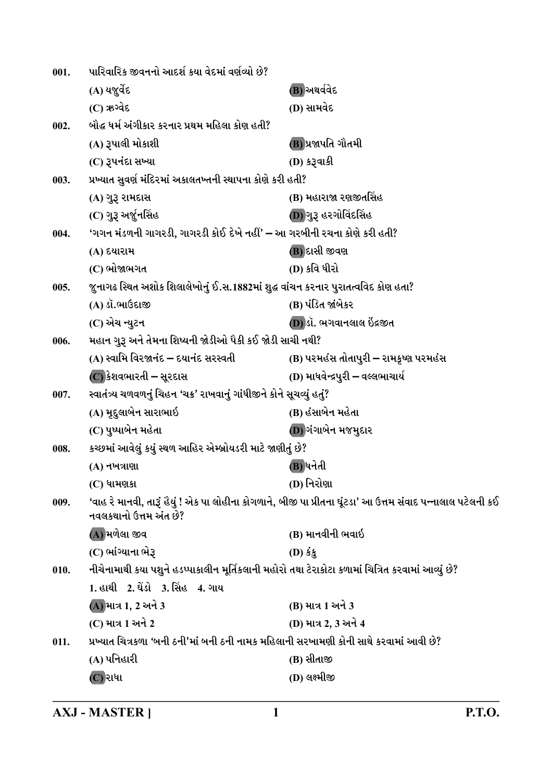| 001. | પારિવારિક જીવનનો આદર્શ કયા વેદમાં વર્ણવ્યો છે?                                                    |                                                                                                             |
|------|---------------------------------------------------------------------------------------------------|-------------------------------------------------------------------------------------------------------------|
|      | (A) યજુર્વેદ                                                                                      | (B) અથર્વવેદ                                                                                                |
|      | $(C)$ ઋગ્વેદ                                                                                      | (D) સામવેદ                                                                                                  |
| 002. | બૌદ્ધ ધર્મ અંગીકાર કરનાર પ્રથમ મહિલા કોણ હતી?                                                     |                                                                                                             |
|      | (A) રૂપાલી મોકાશી                                                                                 | (B) પ્રજાપતિ ગૌતમી                                                                                          |
|      | (C) રૂપનંદા સખ્યા                                                                                 | (D) કરૂવાકી                                                                                                 |
| 003. | પ્રખ્યાત સુવર્ણ મંદિરમાં અકાલતખ્તની સ્થાપના કોણે કરી હતી?                                         |                                                                                                             |
|      | (A) ગુરૂ રામદાસ                                                                                   | (B) મહારાજા રણજીતસિંહ                                                                                       |
|      | (C) ગુરૂ અર્જુનસિંહ                                                                               | (D) ગુરૂ હરગોવિંદસિંહ                                                                                       |
| 004. | 'ગગન મંડળની ગાગરડી, ગાગરડી કોઈ દેખે નહીં' – આ ગરબીની રચના કોણે કરી હતી?                           |                                                                                                             |
|      | (A) દયારામ                                                                                        | (B) દાસી જીવણ                                                                                               |
|      | (C) ભોજાભગત                                                                                       | (D) કવિ ધીરો                                                                                                |
| 005. | જુનાગઢ સ્થિત અશોક શિલાલેખોનું ઈ.સ.1882માં શુદ્ધ વાંચન કરનાર પુરાતત્વવિદ કોણ હતા?                  |                                                                                                             |
|      | (A) ડૉ.ભાઉદાજી                                                                                    | (B) પંડિત જાંબેકર                                                                                           |
|      | (C) એચ ન્યુટન                                                                                     | (D)ડૉ. ભગવાનલાલ ઇંદ્રજીત                                                                                    |
| 006. | મહાન ગુરૂ અને તેમના શિષ્યની જોડીઓ પૈકી કઈ જોડી સાચી નથી?                                          |                                                                                                             |
|      | (A) સ્વામિ વિરજાનંદ – દયાનંદ સરસ્વતી                                                              | (B) પરમહંસ તોતાપુરી – રામકૃષ્ણ પરમહંસ                                                                       |
|      | (C) કેશવભારતી – સૂરદાસ                                                                            | (D) માધવેન્દ્રપુરી – વલ્લભાચાર્ય                                                                            |
| 007. | સ્વાતંત્ર્ય ચળવળનું ચિહન 'ચક્ર' રાખવાનું ગાંધીજીને કોને સૂચવ્યું હતું?                            |                                                                                                             |
|      | (A) મૃદુલાબેન સારાભાઇ                                                                             | (B) હંસાબેન મહેતા                                                                                           |
|      | (C) પુષ્પાબેન મહેતા                                                                               | (D) ગંગાબેન મજમુદાર                                                                                         |
| 008. | કચ્છમાં આવેલું કયું સ્થળ આહિર એમ્બ્રોયડરી માટે જાણીતું છે?                                        |                                                                                                             |
|      | (A) નખત્રાણા                                                                                      | (B) ધનેતી                                                                                                   |
|      | $(C)$ ધામણકા                                                                                      | (D) નિરોણા                                                                                                  |
| 009. | નવલકથાનો ઉત્તમ અંત છે?                                                                            | 'વાહ રે માનવી, તારૂં હૈયું ! એક પા લોહીના કોગળાને, બીજી પા પ્રીતના ઘૂંટડા' આ ઉત્તમ સંવાદ પન્નાલાલ પટેલની કઈ |
|      | (A) મળેલા જીવ                                                                                     | (B) માનવીની ભવાઇ                                                                                            |
|      | (C) ભાંગ્યાના ભેરૂ                                                                                | $(D)$ કંક                                                                                                   |
| 010. | નીચેનામાથી કયા પશુને હડપ્પાકાલીન મૂર્તિકલાની મહોરો તથા ટેરાકોટા કળામાં ચિત્રિત કરવામાં આવ્યું છે? |                                                                                                             |
|      | 1. હાથી 2. ઘેંડો 3. સિંહ 4. ગા <b>ય</b>                                                           |                                                                                                             |
|      | (A) માત્ર 1, 2 અને 3                                                                              | (B) માત્ર 1 અને 3                                                                                           |
|      | (C) માત્ર 1 અને 2                                                                                 | (D) માત્ર 2, 3 અને 4                                                                                        |
| 011. | પ્રખ્યાત ચિત્રકળા 'બની ઠની'માં બની ઠની નામક મહિલાની સરખામણી કોની સાથે કરવામાં આવી છે?             |                                                                                                             |
|      | (A) પનિહારી                                                                                       | (B) સીતાજી                                                                                                  |
|      | (C) રાધા                                                                                          | (D) લક્ષ્મીજી                                                                                               |
|      |                                                                                                   |                                                                                                             |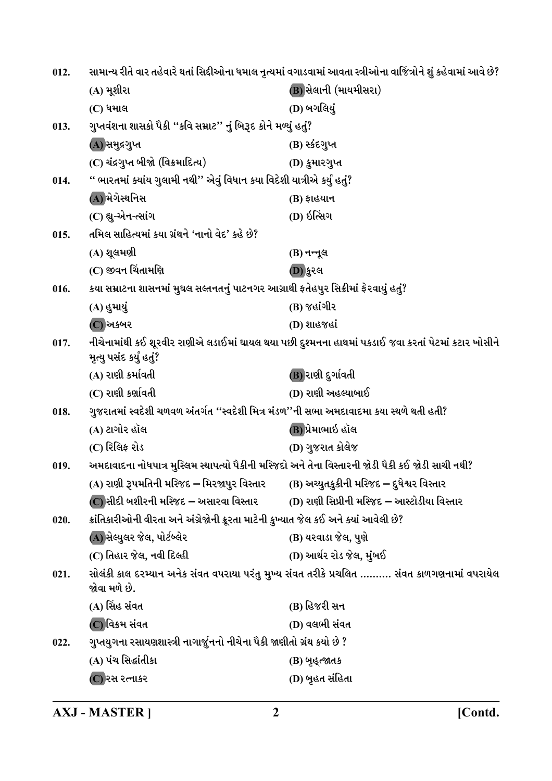| 012. |                                                                                                    | સામાન્ય રીતે વાર તહેવારે થતાં સિદ્દીઓના ધમાલ નૃત્યમાં વગાડવામાં આવતા સ્ત્રીઓના વાજિંત્રોને શું કહેવામાં આવે છે? |
|------|----------------------------------------------------------------------------------------------------|-----------------------------------------------------------------------------------------------------------------|
|      | (A) મૂશીરા                                                                                         | (B) સેલાની (માયમીસરા)                                                                                           |
|      | (C) ધમાલ                                                                                           | (D) બગલિયું                                                                                                     |
| 013. | ગુપ્તવંશના શાસકો પૈકી ''કવિ સમ્રાટ'' નું બિરૂદ કોને મળ્યું હતું?                                   |                                                                                                                 |
|      | (A) સમુદ્રગુપ્ત                                                                                    | (B) સ્કંદગુપ્ત                                                                                                  |
|      | (C) ચંદ્રગુપ્ત બીજો (વિક્રમાદિત્ય)                                                                 | (D) કુમારગુપ્ત                                                                                                  |
| 014. | " ભારતમાં ક્યાંય ગુલામી નથી'' એવું વિધાન કયા વિદેશી યાત્રીએ કર્યું હતું?                           |                                                                                                                 |
|      | (A) મેગેસ્થનિસ                                                                                     | <b>(B) ફાહયાન</b>                                                                                               |
|      | (C) હ્યુ-એન-ત્સાંગ                                                                                 | (D) ઇત્સિંગ                                                                                                     |
| 015. | તમિલ સાહિત્યમાં કયા ગ્રંથને 'નાનો વેદ' કહે છે?                                                     |                                                                                                                 |
|      | (A) શૂલમણી                                                                                         | (B) નન્નૂલ                                                                                                      |
|      | (C) જીવન ચિંતામણિ                                                                                  | (D) કુરલ                                                                                                        |
| 016. | કયા સમ્રાટના શાસનમાં મુઘલ સલ્તનતનું પાટનગર આગ્રાથી ફતેહપુર સિક્રીમાં ફેરવાયું હતું?                |                                                                                                                 |
|      | (A) હુમાયું                                                                                        | (B) જહાંગીર                                                                                                     |
|      | (C) અકબર                                                                                           | (D) શાહજહાં                                                                                                     |
| 017. |                                                                                                    | નીચેનામાંથી કઈ શૂરવીર રાણીએ લડાઈમાં ઘાયલ થયા પછી દુશ્મનના હાથમાં પકડાઈ જવા કરતાં પેટમાં કટાર ખોસીને             |
|      | મૃત્યુ પસંદ કર્યું હતું?                                                                           |                                                                                                                 |
|      | (A) રાણી કર્માવતી                                                                                  | (B) રાણી દુર્ગાવતી                                                                                              |
|      | (C) રાણી કર્ણાવતી                                                                                  | (D) રાણી અહલ્યાબાઈ                                                                                              |
| 018. | ગુજરાતમાં સ્વદેશી ચળવળ અંતર્ગત ''સ્વદેશી મિત્ર મંડળ''ની સભા અમદાવાદમા કયા સ્થળે થતી હતી?           |                                                                                                                 |
|      | (A) ટાગોર હૉલ                                                                                      | (B) પ્રેમાભાઇ હૉલ                                                                                               |
|      | (C) રિલિફ રોડ                                                                                      | (D) ગુજરાત કોલેજ                                                                                                |
| 019. | અમદાવાદના નોધપાત્ર મુસ્લિમ સ્થાપત્યો પૈકીની મસ્જિદો અને તેના વિસ્તારની જોડી પૈકી કઈ જોડી સાચી નથી? |                                                                                                                 |
|      | (A) રાણી રૂપમતિની મસ્જિદ – મિરજાપુર વિસ્તાર                                                        | (B) અચ્યુતકુકીની મસ્જિદ – દુધેશ્વર વિસ્તાર                                                                      |
|      | (C) સીદી બશીરની મસ્જિદ – અસારવા વિસ્તાર                                                            | (D) રાણી સિપ્રીની મસ્જિદ – આસ્ટોડીયા વિસ્તાર                                                                    |
| 020. | ક્રાંતિકારીઓની વીરતા અને અંગ્રેજોની ક્રૂરતા માટેની કુખ્યાત જેલ કઈ અને ક્યાં આવેલી છે?              |                                                                                                                 |
|      | (A) સેલ્યુલર જેલ, પોર્ટબ્લેર                                                                       | (B) યરવાડા જેલ, પુણે                                                                                            |
|      | (C) તિહાર જેલ, નવી દિલ્હી                                                                          | (D) આર્થર રોડ જેલ, મુંબઈ                                                                                        |
| 021. | જોવા મળે છે.                                                                                       | સોલંકી કાલ દરમ્યાન અનેક સંવત વપરાયા પરંતુ મુખ્ય સંવત તરીકે પ્રચલિત  સંવત કાળગણનામાં વપરાયેલ                     |
|      | (A) સિંહ સંવત                                                                                      | (B) હિજરી સન                                                                                                    |
|      | (C)વિક્રમ સંવત                                                                                     | (D) વલભી સંવત                                                                                                   |
| 022. | ગુપ્તયુગના રસાયણશાસ્ત્રી નાગાર્જુનનો નીચેના પૈકી જાણીતો ગ્રંથ કયો છે ?                             |                                                                                                                 |
|      | (A) પંચ સિદ્ધાંતીકા                                                                                | (B) બૃહ્ત્જાતક                                                                                                  |
|      | (C)રસ રત્નાકર                                                                                      | (D) બૃહત સંહિતા                                                                                                 |
|      |                                                                                                    |                                                                                                                 |

**AXJ - MASTER ]**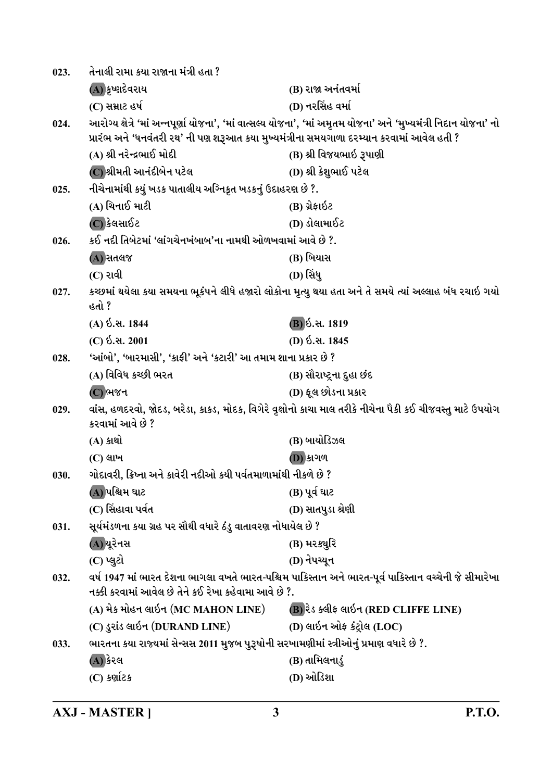| 023. | તેનાલી રામા કયા રાજાના મંત્રી હતા ?                                                       |                                                                                                                  |
|------|-------------------------------------------------------------------------------------------|------------------------------------------------------------------------------------------------------------------|
|      | (A) કૃષ્ણદેવરાય                                                                           | (B) રાજા અનંતવર્મા                                                                                               |
|      | (C) સમ્રાટ હર્ષ                                                                           | (D) નરસિંહ વર્મા                                                                                                 |
| 024. | પ્રારંભ અને 'ધનવંતરી રથ' ની પણ શરૂઆત કયા મુખ્યમંત્રીના સમયગાળા દરમ્યાન કરવામાં આવેલ હતી ? | આરોગ્ય ક્ષેત્રે 'માં અન્નપૂર્ણા યોજના', 'માં વાત્સલ્ય યોજના', 'માં અમૃતમ યોજના' અને 'મુખ્યમંત્રી નિદાન યોજના' નો |
|      | (A) શ્રી નરેન્દ્રભાઈ મોદી                                                                 | (B) શ્રી વિજયભાઇ રૂપાણી                                                                                          |
|      | (C) શ્રીમતી આનંદીબેન પટેલ                                                                 | (D) શ્રી કેશુભાઈ પટેલ                                                                                            |
| 025. | નીચેનામાંથી કયું ખડક પાતાલીય અગ્નિકૃત ખડકનું ઉદાહરણ છે ?.                                 |                                                                                                                  |
|      | (A) ચિનાઈ માટી                                                                            | (B) ગ્રેફાઇટ                                                                                                     |
|      | (C) કેલસાઈટ                                                                               | (D) ડોલામાઈટ                                                                                                     |
| 026. | કઈ નદી તિબેટમાં 'લાંગચેનખંબાબ'ના નામથી ઓળખવામાં આવે છે ?.                                 |                                                                                                                  |
|      | (A) સતલજ                                                                                  | (B) બિયાસ                                                                                                        |
|      | (C) રાવી                                                                                  | (D) સિંધુ                                                                                                        |
| 027. | હતો ?                                                                                     | કચ્છમાં થયેલા કયા સમયના ભૂકંપને લીધે હજારો લોકોના મૃત્યુ થયા હતા અને તે સમયે ત્યાં અલ્લાહ બંધ રચાઇ ગયો           |
|      | (A) ઇ.સ. 1844                                                                             | <b>B</b> ) ઇ.સ. 1819                                                                                             |
|      | (C) ઇ.સ. 2001                                                                             | (D) ઇ.સ. 1845                                                                                                    |
| 028. | 'આંબો', 'બારમાસી', 'કાફી' અને 'કટારી' આ તમામ શાના પ્રકાર છે ?                             |                                                                                                                  |
|      | (A) વિવિધ કચ્છી ભરત                                                                       | (B) સૌરાષ્ટ્રના દુહા છંદ                                                                                         |
|      | $(C)$ ભજન                                                                                 | (D) ફૂલ છોડના પ્રકાર                                                                                             |
| 029. | કરવામાં આવે છે ?                                                                          | વાંસ, હળદરવો, જોદડ, બરેડા, કાકડ, મોદક, વિગેરે વૃક્ષોનો કાચા માલ તરીકે નીચેના પૈકી કઈ ચીજવસ્તુ માટે ઉપયોગ         |
|      | (A) કા <b>થો</b>                                                                          | (B) બાયોડિઝલ                                                                                                     |
|      | $(C)$ લાખ                                                                                 | <b>D</b> ) કાગળ                                                                                                  |
| 030. | ગોદાવરી, ક્રિષ્ના અને કાવેરી નદીઓ કયી પર્વતમાળામાંથી નીકળે છે ?                           |                                                                                                                  |
|      | (A) પશ્ચિમ ઘાટ                                                                            | (B) પૂર્વ ઘાટ                                                                                                    |
|      | (C) સિંહાવા પર્વત                                                                         | (D) સાતપુડા શ્રેણી                                                                                               |
| 031. | સૂર્યમંડળના કયા ગ્રહ પર સૌથી વધારે ઠંડુ વાતાવરણ નોધાયેલ છે ?                              |                                                                                                                  |
|      | (A) યૂરેનસ                                                                                | (B) મર <i>ક</i> ચુરિ                                                                                             |
|      | (C) પ્લુટો                                                                                | (D) નેપચ્યુન                                                                                                     |
| 032. | નક્કી કરવામાં આવેલ છે તેને કઈ રેખા કહેવામા આવે છે ?.                                      | વર્ષ 1947 માં ભારત દેશના ભાગલા વખતે ભારત-પશ્ચિમ પાકિસ્તાન અને ભારત-પૂર્વ પાકિસ્તાન વચ્ચેની જે સીમારેખા           |
|      | (A) મેક મોહન લાઇન (MC MAHON LINE)                                                         | (B) રેડ ક્લીફ લાઇન (RED CLIFFE LINE)                                                                             |
|      | (C) ડુરાંડ લાઇન (DURAND LINE)                                                             | (D) લાઇન ઓફ કંટ્રોલ (LOC)                                                                                        |
| 033. | ભારતના કયા રાજ્યમાં સેન્સસ 2011 મુજબ પુરૂષોની સરખામણીમાં સ્ત્રીઓનું પ્રમાણ વધારે છે ?.    |                                                                                                                  |
|      | (A) કેરલ                                                                                  | (B) તામિલનાડું                                                                                                   |
|      | (C) કર્ણાટક                                                                               | (D) ઓડિશા                                                                                                        |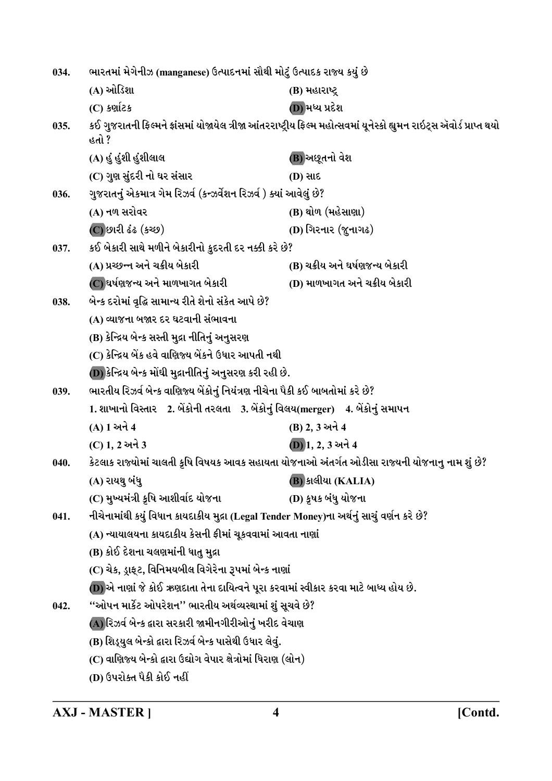| 034. | ભારતમાં મેગેનીઝ (manganese) ઉત્પાદનમાં સૌથી મોટું ઉત્પાદક રાજ્ય કયું છે                   |                                                                                                                       |
|------|-------------------------------------------------------------------------------------------|-----------------------------------------------------------------------------------------------------------------------|
|      | (A) ઓડિશા                                                                                 | (B) મહારાષ્ટ્ર                                                                                                        |
|      | (C) કર્ણાટક                                                                               | (D) મધ્ય પ્રદેશ                                                                                                       |
| 035. | હતો ?                                                                                     | કઈ ગુજરાતની ફિલ્મને ફ્રાંસમાં યોજાયેલ ત્રીજા આંતરરાષ્ટ્રીય ફિલ્મ મહોત્સવમાં યૂનેસ્કો હ્યુમન રાઇટ્સ ઍવોર્ડ પ્રાપ્ત થયો |
|      | (A) હું હુંશી હુંશીલાલ                                                                    | (B) અછૂતનો વેશ                                                                                                        |
|      | (C) ગુણ સુંદરી નો ઘર સંસાર                                                                | <b>(D) સાદ</b>                                                                                                        |
| 036. | ગુજરાતનું એકમાત્ર ગેમ રિઝર્વ (કન્ઝર્વેશન રિઝર્વ ) ક્યાં આવેલું છે?                        |                                                                                                                       |
|      | (A) નળ સરોવર                                                                              | (B) થોળ (મહેસાણા)                                                                                                     |
|      | (C) છારી ઢંઢ (કચ્છ)                                                                       | (D) ગિરનાર (જુનાગઢ)                                                                                                   |
| 037. | કઈ બેકારી સાથે મળીને બેકારીનો કુદરતી દર નક્કી કરે છે?                                     |                                                                                                                       |
|      | (A) પ્રચ્છન્ન અને ચક્રીય બેકારી                                                           | (B) ચક્રીય અને ઘર્ષણજન્ય બેકારી                                                                                       |
|      | (C) ઘર્ષણજન્ય અને માળખાગત બેકારી                                                          | (D) માળખાગત અને ચક્રીય બેકારી                                                                                         |
| 038. | બેન્ક દરોમાં વૃદ્ધિ સામાન્ય રીતે શેનો સંકેત આપે છે?                                       |                                                                                                                       |
|      | (A) વ્યાજના બજાર દર ઘટવાની સંભાવના                                                        |                                                                                                                       |
|      | (B) કેન્દ્રિય બેન્ક સસ્તી મુદ્રા નીતિનું અનુસરણ                                           |                                                                                                                       |
|      | (C) કેન્દ્રિય બેંક હવે વાણિજ્ય બેંકને ઉધાર આપતી નથી                                       |                                                                                                                       |
|      | (D) કેન્દ્રિય બેન્ક મોંઘી મુદ્રાનીતિનું અનુસરણ કરી રહી છે.                                |                                                                                                                       |
| 039. | ભારતીય રિઝર્વ બેન્ક વાણિજ્ય બેંકોનું નિયંત્રણ નીચેના પૈકી કઈ બાબતોમાં કરે છે?             |                                                                                                                       |
|      | 1. શાખાનો વિસ્તાર    2. બેંકોની તરલતા    3. બેંકોનું વિલય(merger)    4. બેંકોનું સમાપન    |                                                                                                                       |
|      | (A) 1 અને 4                                                                               | (B) 2, 3 અને 4                                                                                                        |
|      | (C) 1, 2 અને 3                                                                            | (D) 1, 2, 3 અને 4                                                                                                     |
| 040. |                                                                                           | કેટલાક રાજ્યોમાં ચાલતી કૃષિ વિષયક આવક સહાયતા યોજનાઓ અંતર્ગત ઓડીસા રાજ્યની યોજનાનુ નામ શું છે?                         |
|      | (A) રાયથુ બંધુ                                                                            | <b>(B)</b> કાલીયા (KALIA)                                                                                             |
|      | (C) મુખ્યમંત્રી કૃષિ આશીર્વાદ યોજના                                                       | (D) કૃષક બંધુ યોજના                                                                                                   |
| 041. | નીચેનામાંથી કયું વિધાન કાયદાકીય મુદ્રા (Legal Tender Money)ના અર્થનું સાચું વર્ણન કરે છે? |                                                                                                                       |
|      | (A) ન્યાયાલયના કાયદાકીય કેસની ફીમાં ચૂકવવામાં આવતા નાણાં                                  |                                                                                                                       |
|      | (B) કોઈ દેશના ચલણમાંની ધાતુ મુદ્રા                                                        |                                                                                                                       |
|      | (C) ચેક, ડ્રાફટ, વિનિમયબીલ વિગેરેના રૂપમાં બેન્ક નાણાં                                    |                                                                                                                       |
|      | (D) એ નાણાં જે કોઈ ઋણદાતા તેના દાયિત્વને પૂરા કરવામાં સ્વીકાર કરવા માટે બાધ્ય હોય છે.     |                                                                                                                       |
| 042. | ''ઓપન માર્કેટ ઓપરેશન'' ભારતીય અર્થવ્યસ્થામાં શું સૂચવે છે?                                |                                                                                                                       |
|      | (A) રિઝર્વ બેન્ક દ્વારા સરકારી જામીનગીરીઓનું ખરીદ વેચાણ                                   |                                                                                                                       |
|      | (B) શિડ્યુલ બેન્કો દ્વારા રિઝર્વ બેન્ક પાસેથી ઉધાર લેવું.                                 |                                                                                                                       |
|      | (C) વાણિજ્ય બેન્કો દ્વારા ઉદ્યોગ વેપાર ક્ષેત્રોમાં ધિરાણ (લોન)                            |                                                                                                                       |
|      | (D) ઉપરોક્ત પૈકી કોઈ નહીં                                                                 |                                                                                                                       |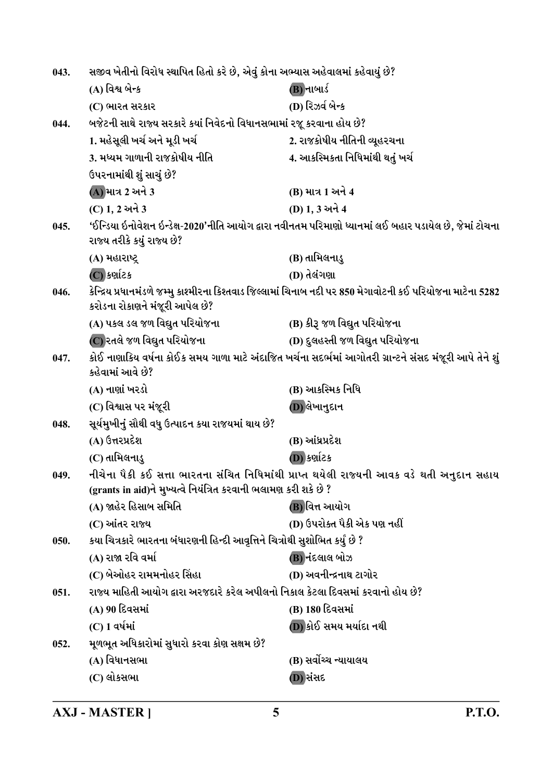| 043. | સજીવ ખેતીનો વિરોધ સ્થાપિત હિતો કરે છે, એવું કોના અભ્યાસ અહેવાલમાં કહેવાયું છે?  |                                                                                                             |
|------|---------------------------------------------------------------------------------|-------------------------------------------------------------------------------------------------------------|
|      | (A) વિશ્વ બેન્ક                                                                 | (B) નાબાર્ડ                                                                                                 |
|      | (C) ભારત સરકાર                                                                  | (D) રિઝર્વ બેન્ક                                                                                            |
| 044. | બજેટની સાથે રાજ્ય સરકારે કયાં નિવેદનો વિધાનસભામાં રજૂ કરવાના હોય છે?            |                                                                                                             |
|      | 1. મહેસૂલી ખર્ચ અને મૂડી ખર્ચ                                                   | 2. રાજકોષીય નીતિની વ્યૂહરચના                                                                                |
|      | 3. મધ્યમ ગાળાની રાજકોષીય નીતિ                                                   | 4. આકસ્મિકતા નિધિમાંથી થતું ખર્ચ                                                                            |
|      | ઉપરનામાંથી શું સાચું છે?                                                        |                                                                                                             |
|      | (A) માત્ર 2 અને 3                                                               | (B) માત્ર 1 અને 4                                                                                           |
|      | (C) 1, 2 અને 3                                                                  | (D) 1, 3 અને 4                                                                                              |
| 045. | રાજ્ય તરીકે કયું રાજ્ય છે?                                                      | 'ઈન્ડિયા ઇનોવેશન ઇન્ડેક્ષ-2020'નીતિ આયોગ દ્વારા નવીનતમ પરિમાણો ધ્યાનમાં લઈ બહાર પડાયેલ છે, જેમાં ટોચના      |
|      | (A) મહારાષ્ટ્ર                                                                  | (B) તામિલનાડુ                                                                                               |
|      | (C) કર્ણાટક                                                                     | (D) તેલંગણા                                                                                                 |
| 046. | કરોડના રોકાણને મંજૂરી આપેલ છે?                                                  | કેન્દ્રિય પ્રધાનમંડળે જમ્મુ કાશ્મીરના કિશ્તવાડ જિલ્લામાં ચિનાબ નદી પર 850 મેગાવોટની કઈ પરિયોજના માટેના 5282 |
|      | (A) પકલ ડલ જળ વિદ્યુત પરિયોજના                                                  | (B) કીરૂ જળ વિદ્યુત પરિયોજના                                                                                |
|      | (C) રતલે જળ વિદ્યુત પરિયોજના                                                    | (D) દુલહસ્તી જળ વિદ્યુત પરિયોજના                                                                            |
| 047. | કહેવામાં આવે છે?                                                                | કોઈ નાણાકિય વર્ષના કોઈક સમય ગાળા માટે અંદાજિત ખર્ચના સદર્ભમાં આગોતરી ગ્રાન્ટને સંસદ મંજૂરી આપે તેને શું     |
|      | (A) નાણાં ખરડો                                                                  | (B) આકસ્મિક નિધિ                                                                                            |
|      | (C) વિશ્વાસ પર મંજૂરી                                                           | (D) લેખાનુદાન                                                                                               |
| 048. | સૂર્યમુખીનું સૌથી વધુ ઉત્પાદન કયા રાજયમાં થાય છે?                               |                                                                                                             |
|      | (A) ઉત્તરપ્રદેશ                                                                 | (B) આંધ્રપ્રદેશ                                                                                             |
|      | (C) તામિલનાડુ                                                                   | (D) કર્ણાટક                                                                                                 |
| 049  | (grants in aid)ને મુખ્યત્વે નિયંત્રિત કરવાની ભલામણ કરી શકે છે ?                 | નીચેના પૈકી કઈ સત્તા ભારતના સંચિત નિધિમાંથી પ્રાપ્ત થયેલી રાજ્યની આવક વડે થતી અનુદાન સહાય                   |
|      | (A) જાહેર હિસાબ સમિતિ                                                           | (B) વિત્ત આયોગ                                                                                              |
|      | (C) આંતર રાજ્ય                                                                  | (D) ઉપરોક્ત પૈકી એક પણ નહીં                                                                                 |
| 050. | કયા ચિત્રકારે ભારતના બંધારણની હિન્દી આવૃત્તિને ચિત્રોથી સુશોભિત કર્યું છે ?     |                                                                                                             |
|      | (A) રાજા રવિ વર્મા                                                              | (B) નંદલાલ બોઝ                                                                                              |
|      | (C) બેઓહર રામમનોહર સિંહા                                                        | (D) અવનીન્દ્રનાથ ટાગોર                                                                                      |
| 051. | રાજ્ય માહિતી આયોગ દ્વારા અરજદારે કરેલ અપીલનો નિકાલ કેટલા દિવસમાં કરવાનો હોય છે? |                                                                                                             |
|      | (A) 90 દિવસમાં                                                                  | (B) 180 દિવસમાં                                                                                             |
|      | (C) 1 વર્ષમાં                                                                   | (D) કોઈ સમય મર્યાદા નથી                                                                                     |
| 052. | મૂળભૂત અધિકારોમાં સુધારો કરવા કોણ સક્ષમ છે?                                     |                                                                                                             |
|      | (A) વિધાનસભા                                                                    | (B) સર્વોચ્ચ ન્યાયાલય                                                                                       |
|      | (C) લોકસભા                                                                      | (D) સંસદ                                                                                                    |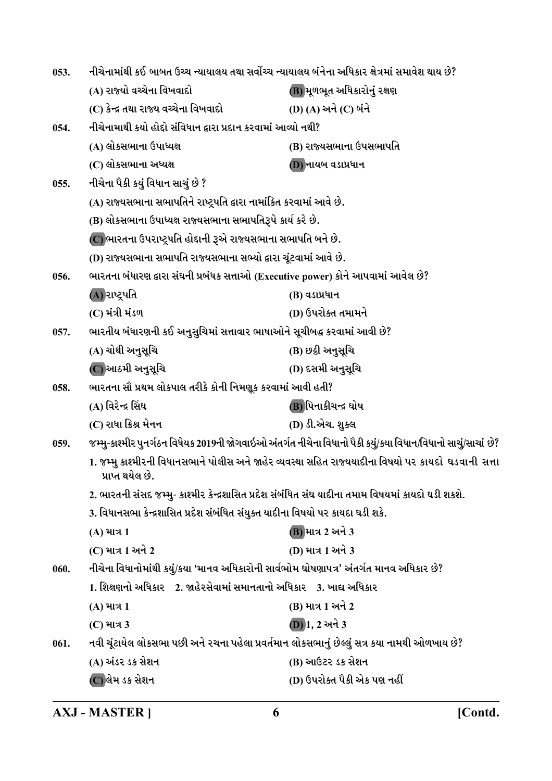| 053. | નીચેનામાંથી કઈ બાબત ઉચ્ચ ન્યાયાલય તથા સર્વોચ્ચ ન્યાયાલય બંનેના અધિકાર ક્ષેત્રમાં સમાવેશ થાય છે?                           |                                                                                                               |
|------|---------------------------------------------------------------------------------------------------------------------------|---------------------------------------------------------------------------------------------------------------|
|      | (A) રાજ્યો વચ્ચેના વિખવાદો                                                                                                | (B) મૂળભૂત અધિકારોનું રક્ષણ                                                                                   |
|      | (C) કેન્દ્ર તથા રાજ્ય વચ્ચેના વિખવાદો                                                                                     | (D) (A) અને (C) બંને                                                                                          |
| 054. | નીચેનામાથી કયો હોદ્દો સંવિધાન દ્વારા પ્રદાન કરવામાં આવ્યો નથી?                                                            |                                                                                                               |
|      | (A) લોકસભાના ઉપાધ્યક્ષ                                                                                                    | (B) રાજ્યસભાના ઉપસભાપતિ                                                                                       |
|      | (C) લોકસભાના અધ્યક્ષ                                                                                                      | (D) નાયબ વડાપ્રધાન                                                                                            |
| 055. | નીચેના પૈકી કયું વિધાન સાચું છે ?                                                                                         |                                                                                                               |
|      | (A) રાજ્યસભાના સભાપતિને રાષ્ટ્રપતિ દ્વારા નામાંકિત કરવામાં આવે છે.                                                        |                                                                                                               |
|      | (B) લોકસભાના ઉપાધ્યક્ષ રાજ્યસભાના સભાપતિરૂપે કાર્ય કરે છે.                                                                |                                                                                                               |
|      | (C) ભારતના ઉપરાષ્ટ્રપતિ હોદ્દાની રૂએ રાજ્યસભાના સભાપતિ બને છે.                                                            |                                                                                                               |
|      | (D) રાજ્યસભાના સભાપતિ રાજ્યસભાના સભ્યો દ્વારા ચૂંટવામાં આવે છે.                                                           |                                                                                                               |
| 056. | ભારતના બંધારણ દ્વારા સંઘની પ્રબંધક સત્તાઓ (Executive power) કોને આપવામાં આવેલ છે?                                         |                                                                                                               |
|      | (A)રાષ્ટ્રપતિ                                                                                                             | (B) વડાપ્રધાન                                                                                                 |
|      | (C) મંત્રી મંડળ                                                                                                           | (D) ઉપરોક્ત તમામને                                                                                            |
| 057. | ભારતીય બંધારણની કઈ અનુસુચિમાં સત્તાવાર ભાષાઓને સૂચીબદ્ધ કરવામાં આવી છે?                                                   |                                                                                                               |
|      | (A) ચોથી અનુસૂચિ                                                                                                          | (B) છઠ્ઠી અનુસૂચિ                                                                                             |
|      | (C) આઠમી અનુસૂચિ                                                                                                          | (D) દસમી અનુસૂચિ                                                                                              |
| 058. | ભારતના સૌ પ્રથમ લોકપાલ તરીકે કોની નિમણૂક કરવામાં આવી હતી?                                                                 |                                                                                                               |
|      | (A) વિરેન્દ્ર સિંઘ                                                                                                        | (B) પિનાકીચન્દ્ર ઘોષ                                                                                          |
|      | (C) રાધા ક્રિશ્ન મેનન                                                                                                     | (D) ડી.એચ. શુક્લ                                                                                              |
| 059. |                                                                                                                           | જમ્મુ-કાશ્મીર પુનર્ગઠન વિધેયક 2019ની જોગવાઇઓ અંતર્ગત નીચેના વિધાનો પૈકી કયું/કયા વિધાન/વિધાનો સાચું/સાચાં છે? |
|      | 1. જમ્મુ કાશ્મીરની વિધાનસભાને પોલીસ અને જાહેર વ્યવસ્થા સહિત રાજ્યયાદીના વિષયો પર કાયદો  ઘડવાની  સત્તા<br>પ્રાપ્ત થયેલ છે. |                                                                                                               |
|      | 2. ભારતની સંસદ જમ્મુ- કાશ્મીર કેન્દ્રશાસિત પ્રદેશ સંબંધિત સંઘ યાદીના તમામ વિષયમાં કાયદો ઘડી શકશે.                         |                                                                                                               |
|      | 3. વિધાનસભા કેન્દ્રશાસિત પ્રદેશ સંબંધિત સંયુક્ત યાદીના વિષયો પર કાયદા ઘડી શકે.                                            |                                                                                                               |
|      | (A) માત્ર 1                                                                                                               | (B) માત્ર 2 અને 3                                                                                             |
|      | (C) માત્ર 1 અને 2                                                                                                         | (D) માત્ર 1 અને 3                                                                                             |
| 060. | નીચેના વિધાનોમાંથી કયું/કયા 'માનવ અધિકારોની સાર્વભોમ ઘોષણાપત્ર' અંતર્ગત માનવ અધિકાર છે?                                   |                                                                                                               |
|      | 1. શિક્ષણનો અધિકાર    2. જાહેરસેવામાં સમાનતાનો અધિકાર    3. ખાદ્ય અધિકાર                                                  |                                                                                                               |
|      | (A) માત્ર 1                                                                                                               | (B) માત્ર 1 અને 2                                                                                             |
|      | (C) માત્ર 3                                                                                                               | (D) 1, 2 અને 3                                                                                                |
| 061. | નવી ચૂંટાયેલ લોકસભા પછી અને રચના પહેલા પ્રવર્તમાન લોકસભાનું છેલ્લું સત્ર કયા નામથી ઓળખાય છે?                              |                                                                                                               |
|      | (A) અંડર ડક સેશન                                                                                                          | (B) આઉટર ડક સેશન                                                                                              |
|      | (C) લેમ ડક સેશન                                                                                                           | (D) ઉપરોક્ત પૈકી એક પણ નહીં                                                                                   |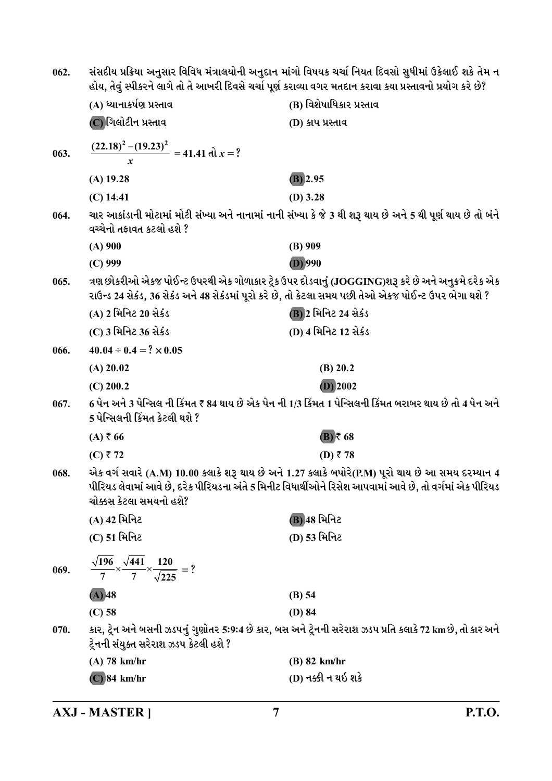| 062. | સંસદીય પ્રક્રિયા અનુસાર વિવિધ મંત્રાલયોની અનુદાન માંગો વિષયક ચર્ચા નિયત દિવસો સુધીમાં ઉકેલાઈ શકે તેમ ન<br>હોય, તેવું સ્પીકરને લાગે તો તે આખરી દિવસે ચર્ચા પૂર્ણ કરાવ્યા વગર મતદાન કરાવા કયા પ્રસ્તાવનો પ્રયોગ કરે છે?                   |                                                                                                                                                                                                              |
|------|-----------------------------------------------------------------------------------------------------------------------------------------------------------------------------------------------------------------------------------------|--------------------------------------------------------------------------------------------------------------------------------------------------------------------------------------------------------------|
|      | (A) ધ્યાનાકર્ષણ પ્રસ્તાવ                                                                                                                                                                                                                | (B) વિશેષાધિકાર પ્રસ્તાવ                                                                                                                                                                                     |
|      | (C) ગિલોટીન પ્રસ્તાવ                                                                                                                                                                                                                    | (D) કાપ પ્રસ્તાવ                                                                                                                                                                                             |
| 063. | $\frac{(22.18)^2 - (19.23)^2}{x} = 41.41 \text{ d}x = ?$                                                                                                                                                                                |                                                                                                                                                                                                              |
|      | $(A)$ 19.28                                                                                                                                                                                                                             | $(B)$ 2.95                                                                                                                                                                                                   |
|      | $(C)$ 14.41                                                                                                                                                                                                                             | $(D)$ 3.28                                                                                                                                                                                                   |
| 064. | વચ્ચેનો તફાવત કટલો હશે ?                                                                                                                                                                                                                | ચાર આકાંડાની મોટામાં મોટી સંખ્યા અને નાનામાં નાની સંખ્યા કે જે 3 થી શરૂ થાય છે અને 5 થી પૂર્ણ થાય છે તો બંને                                                                                                 |
|      | $(A)$ 900                                                                                                                                                                                                                               | $(B)$ 909                                                                                                                                                                                                    |
|      | $(C)$ 999                                                                                                                                                                                                                               | $(D)$ 990                                                                                                                                                                                                    |
| 065. |                                                                                                                                                                                                                                         | ત્રણ છોકરીઓ એકજ પોઈન્ટ ઉપરથી એક ગોળાકાર ટ્રેક ઉપર દોડવાનું (JOGGING)શરૂ કરે છે અને અનુક્રમે દરેક એક<br>રાઉન્ડ 24 સેકંડ, 36 સેકંડ અને 48 સેકંડમાં પૂરો કરે છે, તો કેટલા સમય પછી તેઓ એકજ પોઈન્ટ ઉપર ભેગા થશે ? |
|      | (A) 2 મિનિટ 20 સેકંડ                                                                                                                                                                                                                    | (B) 2 મિનિટ 24 સેકંડ                                                                                                                                                                                         |
|      | (C) 3 મિનિટ 36 સેકંડ                                                                                                                                                                                                                    | (D) 4 મિનિટ 12 સેકંડ                                                                                                                                                                                         |
| 066. | $40.04 \div 0.4 = ? \times 0.05$                                                                                                                                                                                                        |                                                                                                                                                                                                              |
|      | $(A)$ 20.02                                                                                                                                                                                                                             | (B) 20.2                                                                                                                                                                                                     |
|      | $(C)$ 200.2                                                                                                                                                                                                                             | $(D)$ 2002                                                                                                                                                                                                   |
| 067. | 5 પેન્સિલની કિંમત કેટલી થશે ?                                                                                                                                                                                                           | 6 પેન અને 3 પેન્સિલ ની કિંમત ₹ 84 થાય છે એક પેન ની 1/3 કિંમત 1 પેન્સિલની કિંમત બરાબર થાય છે તો 4 પેન અને                                                                                                     |
|      | $(A)$ ₹66                                                                                                                                                                                                                               | $(B)$ ₹ 68                                                                                                                                                                                                   |
|      | (C) ₹72                                                                                                                                                                                                                                 | (D) ₹78                                                                                                                                                                                                      |
| 068. | એક વર્ગ સવારે (A.M) 10.00 કલાકે શરૂ થાય છે અને 1.27 કલાકે બપોરે(P.M) પૂરો થાય છે આ સમય દરમ્યાન 4<br>પીરિયડ લેવામાં આવે છે, દરેક પીરિયડના અંતે 5 મિનીટ વિધાર્થીઓને રિસેશ આપવામાં આવે છે, તો વર્ગમાં એક પીરિયડ<br>ચોક્કસ કેટલા સમયનો હશે? |                                                                                                                                                                                                              |
|      | (A) 42 મિનિટ                                                                                                                                                                                                                            | (B) 48 મિનિટ                                                                                                                                                                                                 |
|      | (C) 51 મિનિટ                                                                                                                                                                                                                            | (D) 53 મિનિટ                                                                                                                                                                                                 |
| 069. | $\frac{\sqrt{196}}{7} \times \frac{\sqrt{441}}{7} \times \frac{120}{\sqrt{225}}$ = ?                                                                                                                                                    |                                                                                                                                                                                                              |
|      | $(A)$ 48                                                                                                                                                                                                                                | (B) 54                                                                                                                                                                                                       |
|      | $(C)$ 58                                                                                                                                                                                                                                | $(D)$ 84                                                                                                                                                                                                     |
| 070. | ટ્રેનની સંયુક્ત સરેરાશ ઝડપ કેટલી હશે ?                                                                                                                                                                                                  | કાર, ટ્રેન અને બસની ઝડપનું ગુણોતર 5:9:4 છે કાર, બસ અને ટ્રેનની સરેરાશ ઝડપ પ્રતિ કલાકે 72 kmછે, તો કાર અને                                                                                                    |
|      | $(A)$ 78 km/hr                                                                                                                                                                                                                          | $(B)$ 82 km/hr                                                                                                                                                                                               |
|      | $(C)$ 84 km/hr                                                                                                                                                                                                                          | (D) નક્કી ન થઇ શકે                                                                                                                                                                                           |

**AXJ - MASTER ]**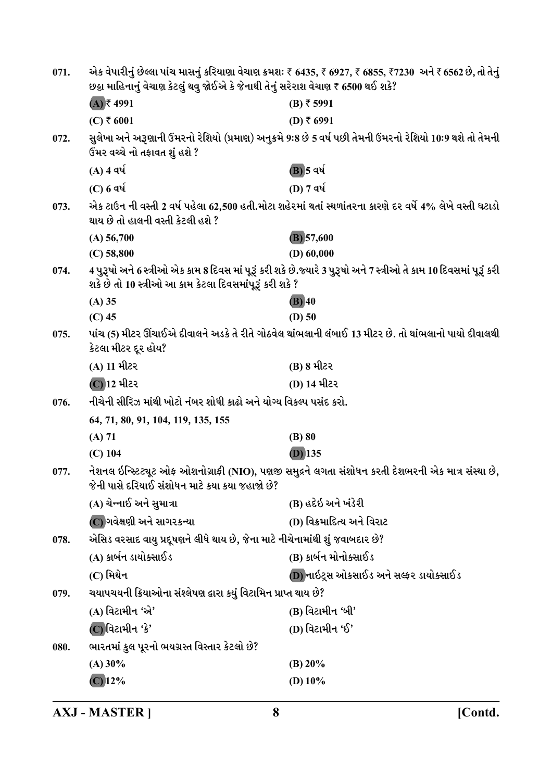| 071. | એક વેપારીનું છેલ્લા પાંચ માસનું કરિયાણા વેચાણ ક્રમશઃ ₹ 6435, ₹ 6927, ₹ 6855, ₹7230  અને ₹ 6562 છે, તો તેનું<br>છઠ્ઠા માહિનાનું વેચાણ કેટલું થવુ જોઈએ કે જેનાથી તેનું સરેરાશ વેચાણ ₹ 6500 થઈ શકે? |                                                                                                                     |
|------|--------------------------------------------------------------------------------------------------------------------------------------------------------------------------------------------------|---------------------------------------------------------------------------------------------------------------------|
|      | $(A)$ ₹ 4991                                                                                                                                                                                     | $(B)$ ₹ 5991                                                                                                        |
|      | (C) ₹ 6001                                                                                                                                                                                       | (D) ₹ 6991                                                                                                          |
| 072. | ઉંમર વચ્ચે નો તફાવત શું હશે ?                                                                                                                                                                    | સુલેખા અને અરૂણાની ઉંમરનો રેશિયો (પ્રમાણ) અનુક્રમે 9:8 છે 5 વર્ષ પછી તેમની ઉંમરનો રેશિયો 10:9 થશે તો તેમની          |
|      | $(A)$ 4 વર્ષ                                                                                                                                                                                     | (B) 5 વર્ષ                                                                                                          |
|      | $(C)$ 6 વર્ષ                                                                                                                                                                                     | (D) 7 વર્ષ                                                                                                          |
| 073. | થાય છે તો હાલની વસ્તી કેટલી હશે ?                                                                                                                                                                | એક ટાઉન ની વસ્તી 2 વર્ષ પહેલા 62,500 હતી.મોટા શહેરમાં થતાં સ્થળાંતરના કારણે દર વર્ષે 4% લેખે વસ્તી ઘટાડો            |
|      | $(A)$ 56,700                                                                                                                                                                                     | $(B)$ 57,600                                                                                                        |
|      | (C) 58,800                                                                                                                                                                                       | (D) 60,000                                                                                                          |
| 074. | શકે છે તો 10 સ્ત્રીઓ આ કામ કેટલા દિવસમાંપૂરૂં કરી શકે ?                                                                                                                                          | 4 પુરૂષો અને 6 સ્ત્રીઓ એક કામ 8 દિવસ માં પૂરૂં કરી શકે છે.જ્યારે 3 પુરૂષો અને 7 સ્ત્રીઓ તે કામ 10 દિવસમાં પૂરૂં કરી |
|      | $(A)$ 35                                                                                                                                                                                         | $(B)$ 40                                                                                                            |
|      | $(C)$ 45                                                                                                                                                                                         | $(D)$ 50                                                                                                            |
| 075. | કેટલા મીટર દૂર હોય?                                                                                                                                                                              | પાંચ (5) મીટર ઊંચાઈએ દીવાલને અડકે તે રીતે ગોઠવેલ થાંભલાની લંબાઈ 13 મીટર છે. તો થાંભલાનો પાયો દીવાલથી                |
|      | (A) 11 મીટર                                                                                                                                                                                      | (B) 8 મીટર                                                                                                          |
|      | (C) 12 મીટર                                                                                                                                                                                      | (D) 14 મીટર                                                                                                         |
| 076. | નીચેની સીરિઝ માંથી ખોટો નંબર શોધી કાઢો અને યોગ્ય વિકલ્પ પસંદ કરો.                                                                                                                                |                                                                                                                     |
|      | 64, 71, 80, 91, 104, 119, 135, 155                                                                                                                                                               |                                                                                                                     |
|      | $(A)$ 71                                                                                                                                                                                         | $(B)$ 80                                                                                                            |
|      | $(C)$ 104                                                                                                                                                                                        | $(D)$ 135                                                                                                           |
| 077. | જેની પાસે દરિયાઈ સંશોધન માટે કયા કયા જહાજો છે?                                                                                                                                                   | નેશનલ ઇન્સ્ટિટ્યૂટ ઓફ ઓશનોગ્રાફી (NIO), પણજી સમુદ્રને લગતા સંશોધન કરતી દેશભરની એક માત્ર સંસ્થા છે,                  |
|      | (A) ચેન્નાઈ અને સુમાત્રા                                                                                                                                                                         | (B) હદેઇ અને ખંડેરી                                                                                                 |
|      | (C) ગવેક્ષણી અને સાગરકન્યા                                                                                                                                                                       | (D) વિક્રમાદિત્ય અને વિરાટ                                                                                          |
| 078. | એસિડ વરસાદ વાયુ પ્રદૂષણને લીધે થાય છે, જેના માટે નીચેનામાંથી શું જવાબદાર છે?                                                                                                                     |                                                                                                                     |
|      | (A) કાર્બન ડાયોક્સાઈડ                                                                                                                                                                            | (B) કાર્બન મોનોક્સાઈડ                                                                                               |
|      | (C) મિથે <b>ન</b>                                                                                                                                                                                | (D) નાઇટ્રસ ઓકસાઈડ અને સલ્ફર ડાયોક્સાઈડ                                                                             |
| 079. | ચયાપચયની ક્રિયાઓના સંશ્લેષણ દ્વારા કયું વિટામિન પ્રાપ્ત થાય છે?                                                                                                                                  |                                                                                                                     |
|      | (A) વિટામીન 'એ'                                                                                                                                                                                  | (B) વિટામીન 'બી'                                                                                                    |
|      | (C)વિટામીન 'કે'                                                                                                                                                                                  | (D) વિટામીન 'ઈ'                                                                                                     |
| 080. | ભારતમાં કુલ પૂરનો ભયગ્રસ્ત વિસ્તાર કેટલો છે?                                                                                                                                                     |                                                                                                                     |
|      | (A) 30%                                                                                                                                                                                          | $(B)$ 20%                                                                                                           |
|      | $(C)$ 12%                                                                                                                                                                                        | (D) $10\%$                                                                                                          |
|      |                                                                                                                                                                                                  |                                                                                                                     |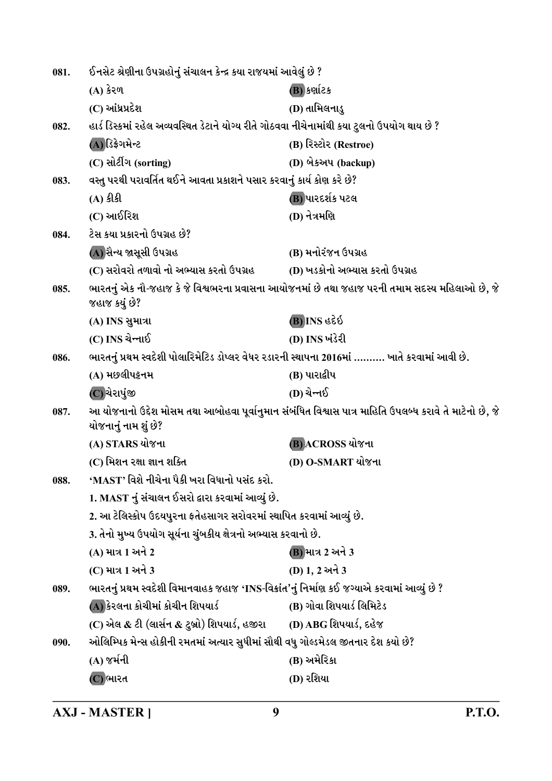| 081. | ઈનસેટ શ્રેણીના ઉપગ્રહોનું સંચાલન કેન્દ્ર કયા રાજયમાં આવેલું છે ?                               |                                                                                                         |
|------|------------------------------------------------------------------------------------------------|---------------------------------------------------------------------------------------------------------|
|      | $(A)$ કેરળ                                                                                     | (B) કર્ણાટક                                                                                             |
|      | (C) આંધ્રપ્રદેશ                                                                                | (D) તામિલનાડુ                                                                                           |
| 082. | હાર્ડ ડિસ્કમાં રહેલ અવ્યવસ્થિત ડેટાને યોગ્ય રીતે ગોઠવવા નીચેનામાંથી કયા ટુલનો ઉપયોગ થાય છે ?   |                                                                                                         |
|      | (A)ડિફ્રેગમેન્ટ                                                                                | (B) રિસ્ટોર (Restroe)                                                                                   |
|      | (C) સોર્ટીંગ (sorting)                                                                         | (D) બેકઅપ (backup)                                                                                      |
| 083. | વસ્તુ પરથી પરાવર્તિત થઈને આવતા પ્રકાશને પસાર કરવાનું કાર્ય કોણ કરે છે?                         |                                                                                                         |
|      | $(A)$ કીકી                                                                                     | (B) પારદર્શક પટલ                                                                                        |
|      | (C) આઈરિશ                                                                                      | (D) નેત્રમણિ                                                                                            |
| 084. | ટેસ કયા પ્રકારનો ઉપગ્રહ છે?                                                                    |                                                                                                         |
|      | (A) સૈન્ય જાસૂસી ઉપગ્રહ                                                                        | (B) મનોરંજન ઉપગ્રહ                                                                                      |
|      | (C) સરોવરો તળાવો નો અભ્યાસ કરતો ઉપગ્રહ                                                         | (D) ખડકોનો અભ્યાસ કરતો ઉપગ્રહ                                                                           |
| 085. | જહાજ કયું છે?                                                                                  | ભારતનું એક નૌ-જહાજ કે જે વિશ્વભરના પ્રવાસના આયોજનમાં છે તથા જહાજ પરની તમામ સદસ્ય મહિલાઓ છે, જે          |
|      | (A) INS સુમાત્રા                                                                               | $\delta$ Ss ani(B)                                                                                      |
|      | (C) INS ચેન્નાઈ                                                                                | (D) INS ખંડેરી                                                                                          |
| 086. | ભારતનું પ્રથમ સ્વદેશી પોલારિમેટિડ ડોપ્લર વેધર રડારની સ્થાપના 2016માં ………. ખાતે કરવામાં આવી છે. |                                                                                                         |
|      | (A) મછલીપટ્ટનમ                                                                                 | (B) પારાદ્વીપ                                                                                           |
|      | (C)ચેરાપુંજી                                                                                   | (D) ચેન્નઈ                                                                                              |
| 087. | યોજનાનું નામ શું છે?                                                                           | આ યોજનાનો ઉદ્દેશ મોસમ તથા આબોહવા પૂર્વાનુમાન સંબંધિત વિશ્વાસ પાત્ર માહિતિ ઉપલબ્ધ કરાવે તે માટેનો છે, જે |
|      | (A) STARS યોજના                                                                                | (B) ACROSS યોજના                                                                                        |
|      | (C) મિશન રક્ષા જ્ઞાન શક્તિ                                                                     | (D) O-SMART યોજના                                                                                       |
| 088. | 'MAST' વિશે નીચેના પૈકી ખરા વિધાનો પસંદ કરો.                                                   |                                                                                                         |
|      | 1. MAST નું સંચાલન ઈસરો દ્વારા કરવામાં આવ્યું છે.                                              |                                                                                                         |
|      | 2. આ ટેલિસ્કોપ ઉદયપુરના ફતેહસાગર સરોવરમાં સ્થાપિત કરવામાં આવ્યું છે.                           |                                                                                                         |
|      | 3. તેનો મુખ્ય ઉપયોગ સૂર્યના ચુંબકીય ક્ષેત્રનો અભ્યાસ કરવાનો છે.                                |                                                                                                         |
|      | (A) માત્ર 1 અને 2                                                                              | (B) માત્ર 2 અને 3                                                                                       |
|      | (C) માત્ર 1 અને 3                                                                              | (D) 1, 2 અને 3                                                                                          |
| 089. | ભારતનું પ્રથમ સ્વદેશી વિમાનવાહક જહાજ 'INS-વિક્રાંત'નું નિર્માણ કઈ જગ્યાએ કરવામાં આવ્યું છે ?   |                                                                                                         |
|      | (A) કેરલના કોચીમાં કોચીન શિપયાર્ડ                                                              | (B) ગોવા શિપયાર્ડ લિમિટેડ                                                                               |
|      | (C) એલ & ટી (લાર્સન & ટુબ્રો) શિપયાર્ડ, હજીરા                                                  | (D) ABG શિપયાર્ડ, દહેજ                                                                                  |
| 090. | ઓલિમ્પિક મેન્સ હોકીની રમતમાં અત્યાર સુધીમાં સૌથી વધુ ગોલ્ડમેડલ જીતનાર દેશ કયો છે?              |                                                                                                         |
|      | (A) જર્મની                                                                                     | (B) અમેરિકા                                                                                             |
|      | (C) ભારત                                                                                       | (D) રશિયા                                                                                               |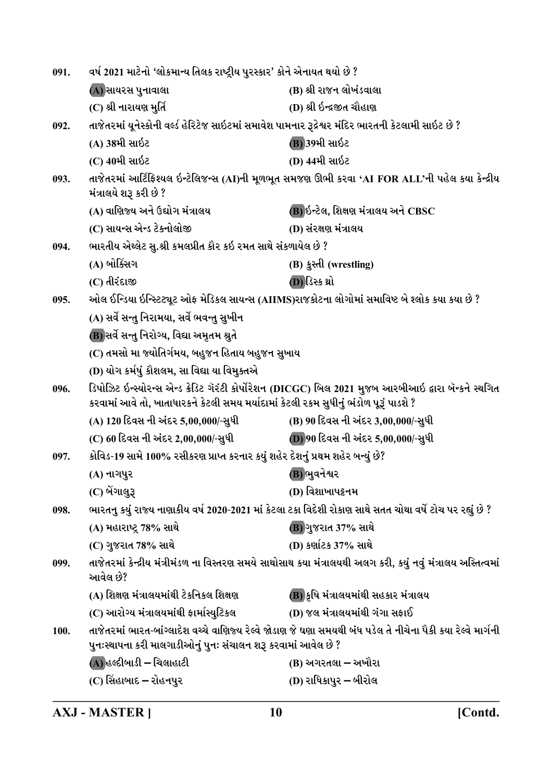| 091. | વર્ષ 2021 માટેનો 'લોકમાન્ય તિલક રાષ્ટ્રીય પુરસ્કાર' કોને એનાયત થયો છે ?                             |                                                                                                               |
|------|-----------------------------------------------------------------------------------------------------|---------------------------------------------------------------------------------------------------------------|
|      | (A) સાયરસ પુનાવાલા                                                                                  | (B) શ્રી રાજન લોખંડવાલા                                                                                       |
|      | (C) શ્રી નારાયણ મુર્તિ                                                                              | (D) શ્રી ઇન્દ્રજીત ચૌહાણ                                                                                      |
| 092. | તાજેતરમાં યૂનેસ્કોની વર્લ્ડ હેરિટેજ સાઇટમાં સમાવેશ પામનાર રૂદ્રેશ્વર મંદિર ભારતની કેટલામી સાઇટ છે ? |                                                                                                               |
|      | (A) 38મી સાઇટ                                                                                       | (B) 39મી સાઇટ                                                                                                 |
|      | (C) 40મી સાઇટ                                                                                       | (D) 44મી સાઇટ                                                                                                 |
| 093. | મંત્રાલયે શરૂ કરી છે ?                                                                              | તાજેતરમાં આર્ટિફિશ્યલ ઇન્ટેલિજન્સ (AI)ની મૂળભૂત સમજણ ઊભી કરવા 'AI FOR ALL'ની પહેલ કયા કેન્દ્રીય               |
|      | (A) વાણિજ્ય અને ઉદ્યોગ મંત્રાલય                                                                     | (B) ઇન્ટેલ, શિક્ષણ મંત્રાલય અને CBSC                                                                          |
|      | (C) સાયન્સ એન્ડ ટેક્નોલોજી                                                                          | (D) સંરક્ષણ મંત્રાલય                                                                                          |
| 094. | ભારતીય એથ્લેટ સુ.શ્રી કમલપ્રીત કૌર કઇ રમત સાથે સંકળાયેલ છે ?                                        |                                                                                                               |
|      | (A) બોક્સિંગ                                                                                        | (B) કુસ્તી (wrestling)                                                                                        |
|      | (C) તીરંદાજી                                                                                        | (D) ડિસ્ક થ્રો                                                                                                |
| 095. | ઓલ ઈન્ડિયા ઇન્સ્ટિટ્યૂટ ઓફ મેડિકલ સાયન્સ (AIIMS)રાજકોટના લોગોમાં સમાવિષ્ટ બે શ્લોક કયા કયા છે ?     |                                                                                                               |
|      | (A) સર્વે સન્તુ નિરામયા, સર્વે ભવન્તુ સુખીન                                                         |                                                                                                               |
|      | (B) સર્વે સન્તુ નિરોગ્ય, વિદ્યા અમૃતમ શ્રુતે                                                        |                                                                                                               |
|      | (C) તમસો મા જ્યોતિર્ગમય, બહુજન હિતાય બહુજન સુખાય                                                    |                                                                                                               |
|      | (D) યોગ કર્મષું કૌશલમ, સા વિદ્યા યા વિમુક્તએ                                                        |                                                                                                               |
| 096. | કરવામાં આવે તો, ખાતાધારકને કેટલી સમય મર્યાદામાં કેટલી રકમ સુધીનું ભંડોળ પૂરૂં પાડશે ?               | ડિપોઝિટ ઇન્સ્યોરન્સ એન્ડ ક્રેડિટ ગૅરંટી કોર્પોરેશન (DICGC) બિલ 2021 મુજબ આરબીઆઇ દ્વારા બૅન્કને સ્થગિત         |
|      | (A) 120 દિવસ ની અંદર 5,00,000/-સુધી                                                                 | (B) 90 દિવસ ની અંદર 3,00,000/-સુધી                                                                            |
|      | (C) 60 દિવસ ની અંદર 2,00,000/-સુધી                                                                  | (D) 90 દિવસ ની અંદર 5,00,000/-સુધી                                                                            |
| 097. | કોવિડ-19 સામે 100% રસીકરણ પ્રાપ્ત કરનાર કયું શહેર દેશનું પ્રથમ શહેર બન્યું છે?                      |                                                                                                               |
|      | (A) નાગપુર                                                                                          | (B)ભુવનેશ્વર                                                                                                  |
|      | (C) બેંગાલુરૂ                                                                                       | (D) વિશાખાપટ્ટનમ                                                                                              |
| 098. |                                                                                                     | ભારતનુ કયું રાજ્ય નાણાકીય વર્ષ 2020-2021 માં કેટલા ટકા વિદેશી રોકાણ સાથે સતત ચોથા વર્ષે ટોચ પર રહ્યું છે ?    |
|      | (A) મહારાષ્ટ્ર 78% સાથે                                                                             | (B) ગુજરાત 37% સાથે                                                                                           |
|      | (C) ગુજરાત 78% સાથે                                                                                 | (D) કર્ણાટક 37% સાથે                                                                                          |
| 099. | આવેલ છે?                                                                                            | તાજેતરમાં કેન્દ્રીય મંત્રીમંડળ ના વિસ્તરણ સમયે સાથોસાથ કયા મંત્રાલયથી અલગ કરી, કયું નવું મંત્રાલય અસ્તિત્વમાં |
|      | (A) શિક્ષણ મંત્રાલયમાંથી ટેકનિકલ શિક્ષણ                                                             | (B) કૃષિ મંત્રાલયમાંથી સહકાર મંત્રાલય                                                                         |
|      | (C) આરોગ્ય મંત્રાલયમાંથી ફાર્માસ્યુટિકલ                                                             | (D) જલ મંત્રાલયમાંથી ગંગા સફાઈ                                                                                |
| 100. | પુનઃસ્થાપના કરી માલગાડીઓનું પુનઃ સંચાલન શરૂ કરવામાં આવેલ છે ?                                       | તાજેતરમાં ભારત-બાંગ્લાદેશ વચ્ચે વાણિજ્ય રેલ્વે જોડાણ જે ઘણા સમયથી બંધ પડેલ તે નીચેના પૈકી કયા રેલ્વે માર્ગની  |
|      | $(A)$ હલ્દીબાડી – ચિલાહાટી                                                                          | (B) અગરતલા – અખૌરા                                                                                            |
|      |                                                                                                     |                                                                                                               |
|      | (C) સિંહાબાદ – રોહનપુર                                                                              | (D) રાધિકાપુર – બીરોલ                                                                                         |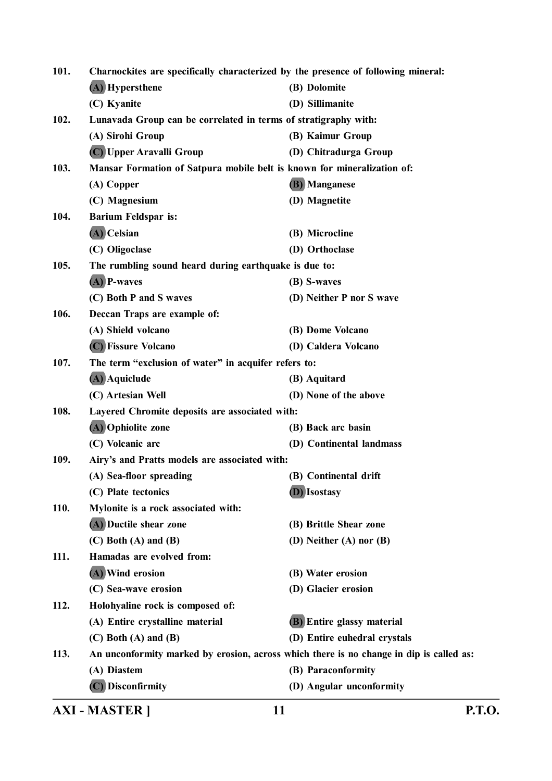| <b>AXI - MASTER ]</b>            | 11                                                                                | <b>P.T.O.</b>                                                                                                                                                                                                                                                                                                                                                                                                                                                                   |
|----------------------------------|-----------------------------------------------------------------------------------|---------------------------------------------------------------------------------------------------------------------------------------------------------------------------------------------------------------------------------------------------------------------------------------------------------------------------------------------------------------------------------------------------------------------------------------------------------------------------------|
| (C) Disconfirmity                | (D) Angular unconformity                                                          |                                                                                                                                                                                                                                                                                                                                                                                                                                                                                 |
|                                  |                                                                                   |                                                                                                                                                                                                                                                                                                                                                                                                                                                                                 |
|                                  |                                                                                   |                                                                                                                                                                                                                                                                                                                                                                                                                                                                                 |
| $(C)$ Both $(A)$ and $(B)$       | (D) Entire euhedral crystals                                                      |                                                                                                                                                                                                                                                                                                                                                                                                                                                                                 |
| (A) Entire crystalline material  | <b>(B)</b> Entire glassy material                                                 |                                                                                                                                                                                                                                                                                                                                                                                                                                                                                 |
| Holohyaline rock is composed of: |                                                                                   |                                                                                                                                                                                                                                                                                                                                                                                                                                                                                 |
| (C) Sea-wave erosion             | (D) Glacier erosion                                                               |                                                                                                                                                                                                                                                                                                                                                                                                                                                                                 |
| (A) Wind erosion                 | (B) Water erosion                                                                 |                                                                                                                                                                                                                                                                                                                                                                                                                                                                                 |
| Hamadas are evolved from:        |                                                                                   |                                                                                                                                                                                                                                                                                                                                                                                                                                                                                 |
| $(C)$ Both $(A)$ and $(B)$       | (D) Neither (A) nor (B)                                                           |                                                                                                                                                                                                                                                                                                                                                                                                                                                                                 |
| (A) Ductile shear zone           | (B) Brittle Shear zone                                                            |                                                                                                                                                                                                                                                                                                                                                                                                                                                                                 |
|                                  |                                                                                   |                                                                                                                                                                                                                                                                                                                                                                                                                                                                                 |
| (C) Plate tectonics              | (D) Isostasy                                                                      |                                                                                                                                                                                                                                                                                                                                                                                                                                                                                 |
| (A) Sea-floor spreading          | (B) Continental drift                                                             |                                                                                                                                                                                                                                                                                                                                                                                                                                                                                 |
|                                  |                                                                                   |                                                                                                                                                                                                                                                                                                                                                                                                                                                                                 |
| (C) Volcanic arc                 | (D) Continental landmass                                                          |                                                                                                                                                                                                                                                                                                                                                                                                                                                                                 |
| (A) Ophiolite zone               | (B) Back arc basin                                                                |                                                                                                                                                                                                                                                                                                                                                                                                                                                                                 |
|                                  |                                                                                   |                                                                                                                                                                                                                                                                                                                                                                                                                                                                                 |
| (C) Artesian Well                | (D) None of the above                                                             |                                                                                                                                                                                                                                                                                                                                                                                                                                                                                 |
| (A) Aquiclude                    | (B) Aquitard                                                                      |                                                                                                                                                                                                                                                                                                                                                                                                                                                                                 |
|                                  |                                                                                   |                                                                                                                                                                                                                                                                                                                                                                                                                                                                                 |
| (C) Fissure Volcano              | (D) Caldera Volcano                                                               |                                                                                                                                                                                                                                                                                                                                                                                                                                                                                 |
| (A) Shield volcano               | (B) Dome Volcano                                                                  |                                                                                                                                                                                                                                                                                                                                                                                                                                                                                 |
| Deccan Traps are example of:     |                                                                                   |                                                                                                                                                                                                                                                                                                                                                                                                                                                                                 |
| (C) Both P and S waves           | (D) Neither P nor S wave                                                          |                                                                                                                                                                                                                                                                                                                                                                                                                                                                                 |
| $(A)$ P-waves                    | (B) S-waves                                                                       |                                                                                                                                                                                                                                                                                                                                                                                                                                                                                 |
|                                  |                                                                                   |                                                                                                                                                                                                                                                                                                                                                                                                                                                                                 |
| (C) Oligoclase                   | (D) Orthoclase                                                                    |                                                                                                                                                                                                                                                                                                                                                                                                                                                                                 |
| (A) Celsian                      | (B) Microcline                                                                    |                                                                                                                                                                                                                                                                                                                                                                                                                                                                                 |
| <b>Barium Feldspar is:</b>       |                                                                                   |                                                                                                                                                                                                                                                                                                                                                                                                                                                                                 |
| (C) Magnesium                    | (D) Magnetite                                                                     |                                                                                                                                                                                                                                                                                                                                                                                                                                                                                 |
| (A) Copper                       | (B) Manganese                                                                     |                                                                                                                                                                                                                                                                                                                                                                                                                                                                                 |
|                                  |                                                                                   |                                                                                                                                                                                                                                                                                                                                                                                                                                                                                 |
| (C) Upper Aravalli Group         | (D) Chitradurga Group                                                             |                                                                                                                                                                                                                                                                                                                                                                                                                                                                                 |
| (A) Sirohi Group                 | (B) Kaimur Group                                                                  |                                                                                                                                                                                                                                                                                                                                                                                                                                                                                 |
|                                  |                                                                                   |                                                                                                                                                                                                                                                                                                                                                                                                                                                                                 |
| (C) Kyanite                      | (D) Sillimanite                                                                   |                                                                                                                                                                                                                                                                                                                                                                                                                                                                                 |
| (A) Hypersthene                  | (B) Dolomite                                                                      |                                                                                                                                                                                                                                                                                                                                                                                                                                                                                 |
|                                  | Charnockites are specifically characterized by the presence of following mineral: |                                                                                                                                                                                                                                                                                                                                                                                                                                                                                 |
|                                  | Mylonite is a rock associated with:<br>(A) Diastem                                | Lunavada Group can be correlated in terms of stratigraphy with:<br>Mansar Formation of Satpura mobile belt is known for mineralization of:<br>The rumbling sound heard during earthquake is due to:<br>The term "exclusion of water" in acquifer refers to:<br>Layered Chromite deposits are associated with:<br>Airy's and Pratts models are associated with:<br>An unconformity marked by erosion, across which there is no change in dip is called as:<br>(B) Paraconformity |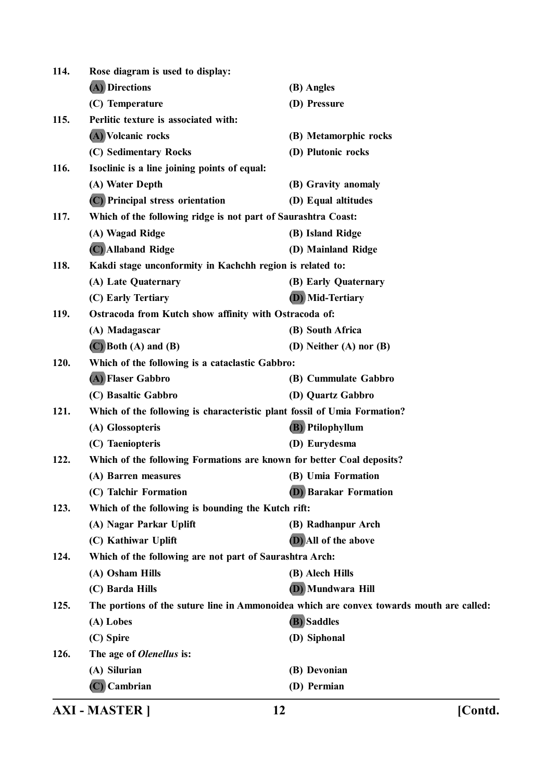|      | <b>AXI - MASTER  </b>                                                    | [Contd.<br>12                                                                            |  |
|------|--------------------------------------------------------------------------|------------------------------------------------------------------------------------------|--|
|      | $(C)$ Cambrian                                                           | (D) Permian                                                                              |  |
|      | (A) Silurian                                                             | (B) Devonian                                                                             |  |
| 126. | The age of <i>Olenellus</i> is:                                          |                                                                                          |  |
|      | (C) Spire                                                                | (D) Siphonal                                                                             |  |
|      | (A) Lobes                                                                | (B) Saddles                                                                              |  |
| 125. |                                                                          | The portions of the suture line in Ammonoidea which are convex towards mouth are called: |  |
|      | (C) Barda Hills                                                          | (D) Mundwara Hill                                                                        |  |
|      | (A) Osham Hills                                                          | (B) Alech Hills                                                                          |  |
| 124. | Which of the following are not part of Saurashtra Arch:                  |                                                                                          |  |
|      | (C) Kathiwar Uplift                                                      | (D) All of the above                                                                     |  |
|      | (A) Nagar Parkar Uplift                                                  | (B) Radhanpur Arch                                                                       |  |
| 123. | Which of the following is bounding the Kutch rift:                       |                                                                                          |  |
|      | (C) Talchir Formation                                                    | <b>(D)</b> Barakar Formation                                                             |  |
|      | (A) Barren measures                                                      | (B) Umia Formation                                                                       |  |
| 122. | Which of the following Formations are known for better Coal deposits?    |                                                                                          |  |
|      | (C) Taeniopteris                                                         | (D) Eurydesma                                                                            |  |
|      | (A) Glossopteris                                                         | (B) Ptilophyllum                                                                         |  |
| 121. | Which of the following is characteristic plant fossil of Umia Formation? |                                                                                          |  |
|      | (C) Basaltic Gabbro                                                      | (D) Quartz Gabbro                                                                        |  |
|      | (A) Flaser Gabbro                                                        | (B) Cummulate Gabbro                                                                     |  |
| 120. | Which of the following is a cataclastic Gabbro:                          |                                                                                          |  |
|      | $(C)$ Both $(A)$ and $(B)$                                               | (D) Neither (A) nor (B)                                                                  |  |
|      | (A) Madagascar                                                           | (B) South Africa                                                                         |  |
| 119. | Ostracoda from Kutch show affinity with Ostracoda of:                    |                                                                                          |  |
|      | (C) Early Tertiary                                                       | <b>(D)</b> Mid-Tertiary                                                                  |  |
|      | (A) Late Quaternary                                                      | (B) Early Quaternary                                                                     |  |
| 118. | Kakdi stage unconformity in Kachchh region is related to:                |                                                                                          |  |
|      | (C) Allaband Ridge                                                       | (D) Mainland Ridge                                                                       |  |
|      | (A) Wagad Ridge                                                          | (B) Island Ridge                                                                         |  |
| 117. | Which of the following ridge is not part of Saurashtra Coast:            |                                                                                          |  |
|      | (C) Principal stress orientation                                         | (D) Equal altitudes                                                                      |  |
|      | (A) Water Depth                                                          | (B) Gravity anomaly                                                                      |  |
| 116. | Isoclinic is a line joining points of equal:                             |                                                                                          |  |
|      | (C) Sedimentary Rocks                                                    | (D) Plutonic rocks                                                                       |  |
|      | (A) Volcanic rocks                                                       | (B) Metamorphic rocks                                                                    |  |
| 115. | Perlitic texture is associated with:                                     |                                                                                          |  |
|      | (C) Temperature                                                          | (D) Pressure                                                                             |  |
|      | (A) Directions                                                           | (B) Angles                                                                               |  |
| 114. | Rose diagram is used to display:                                         |                                                                                          |  |
|      |                                                                          |                                                                                          |  |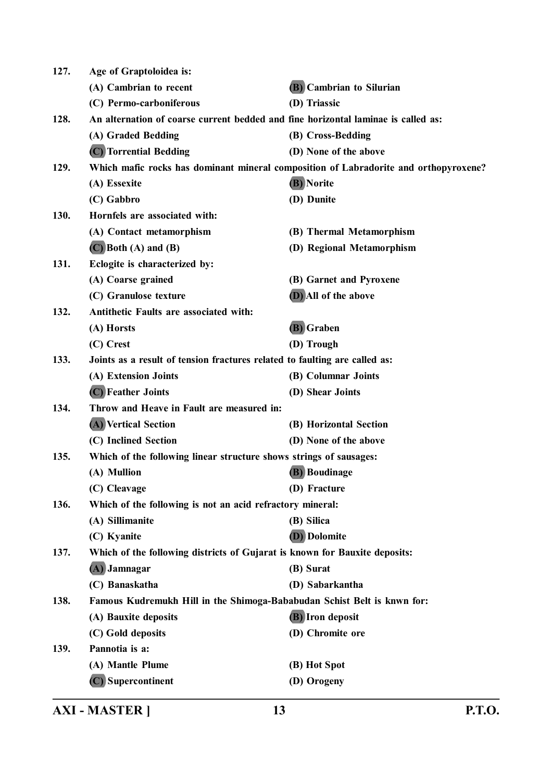| 127. | Age of Graptoloidea is:                                                           |                                                                                      |  |
|------|-----------------------------------------------------------------------------------|--------------------------------------------------------------------------------------|--|
|      | (A) Cambrian to recent                                                            | (B) Cambrian to Silurian                                                             |  |
|      | (C) Permo-carboniferous                                                           | (D) Triassic                                                                         |  |
| 128. | An alternation of coarse current bedded and fine horizontal laminae is called as: |                                                                                      |  |
|      | (A) Graded Bedding                                                                | (B) Cross-Bedding                                                                    |  |
|      | (C) Torrential Bedding                                                            | (D) None of the above                                                                |  |
| 129. |                                                                                   | Which mafic rocks has dominant mineral composition of Labradorite and orthopyroxene? |  |
|      | (A) Essexite                                                                      | (B) Norite                                                                           |  |
|      | (C) Gabbro                                                                        | (D) Dunite                                                                           |  |
| 130. | Hornfels are associated with:                                                     |                                                                                      |  |
|      | (A) Contact metamorphism                                                          | (B) Thermal Metamorphism                                                             |  |
|      | $(C)$ Both $(A)$ and $(B)$                                                        | (D) Regional Metamorphism                                                            |  |
| 131. | Eclogite is characterized by:                                                     |                                                                                      |  |
|      | (A) Coarse grained                                                                | (B) Garnet and Pyroxene                                                              |  |
|      | (C) Granulose texture                                                             | (D) All of the above                                                                 |  |
| 132. | Antithetic Faults are associated with:                                            |                                                                                      |  |
|      | (A) Horsts                                                                        | (B) Graben                                                                           |  |
|      | (C) Crest                                                                         | (D) Trough                                                                           |  |
| 133. | Joints as a result of tension fractures related to faulting are called as:        |                                                                                      |  |
|      | (A) Extension Joints                                                              | (B) Columnar Joints                                                                  |  |
|      | (C) Feather Joints                                                                | (D) Shear Joints                                                                     |  |
| 134. | Throw and Heave in Fault are measured in:                                         |                                                                                      |  |
|      | (A) Vertical Section                                                              | (B) Horizontal Section                                                               |  |
|      | (C) Inclined Section                                                              | (D) None of the above                                                                |  |
| 135. | Which of the following linear structure shows strings of sausages:                |                                                                                      |  |
|      | (A) Mullion                                                                       | <b>(B)</b> Boudinage                                                                 |  |
|      | (C) Cleavage                                                                      | (D) Fracture                                                                         |  |
| 136. | Which of the following is not an acid refractory mineral:                         |                                                                                      |  |
|      | (A) Sillimanite                                                                   | (B) Silica                                                                           |  |
|      | (C) Kyanite                                                                       | (D) Dolomite                                                                         |  |
| 137. | Which of the following districts of Gujarat is known for Bauxite deposits:        |                                                                                      |  |
|      | (A) Jamnagar                                                                      | (B) Surat                                                                            |  |
|      | (C) Banaskatha                                                                    | (D) Sabarkantha                                                                      |  |
| 138. | Famous Kudremukh Hill in the Shimoga-Bababudan Schist Belt is knwn for:           |                                                                                      |  |
|      | (A) Bauxite deposits                                                              | (B) Iron deposit                                                                     |  |
|      | (C) Gold deposits                                                                 | (D) Chromite ore                                                                     |  |
| 139. | Pannotia is a:                                                                    |                                                                                      |  |
|      | (A) Mantle Plume                                                                  | (B) Hot Spot                                                                         |  |
|      | (C) Supercontinent                                                                | (D) Orogeny                                                                          |  |
|      |                                                                                   |                                                                                      |  |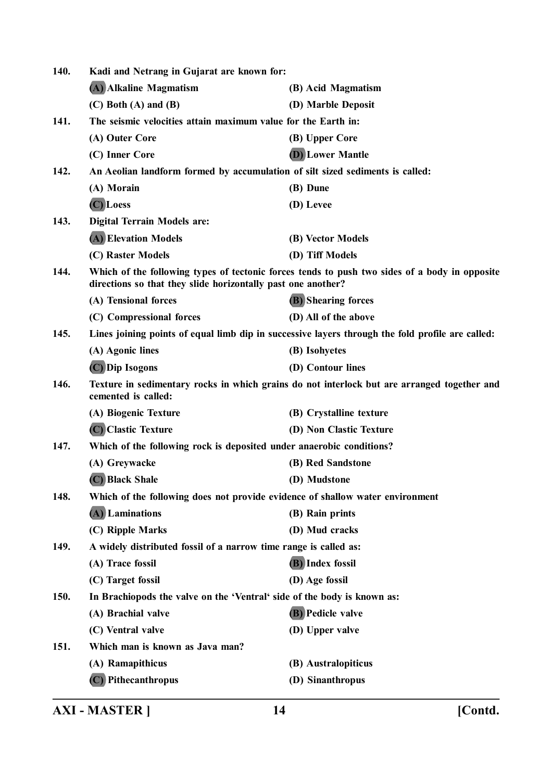| 140.        | Kadi and Netrang in Gujarat are known for:                                    |                                                                                                  |
|-------------|-------------------------------------------------------------------------------|--------------------------------------------------------------------------------------------------|
|             | (A) Alkaline Magmatism                                                        | (B) Acid Magmatism                                                                               |
|             | $(C)$ Both $(A)$ and $(B)$                                                    | (D) Marble Deposit                                                                               |
| 141.        | The seismic velocities attain maximum value for the Earth in:                 |                                                                                                  |
|             | (A) Outer Core                                                                | (B) Upper Core                                                                                   |
|             | (C) Inner Core                                                                | <b>(D)</b> Lower Mantle                                                                          |
| 142.        | An Aeolian landform formed by accumulation of silt sized sediments is called: |                                                                                                  |
|             | (A) Morain                                                                    | (B) Dune                                                                                         |
|             | (C) Loess                                                                     | (D) Levee                                                                                        |
| 143.        | <b>Digital Terrain Models are:</b>                                            |                                                                                                  |
|             | (A) Elevation Models                                                          | (B) Vector Models                                                                                |
|             | (C) Raster Models                                                             | (D) Tiff Models                                                                                  |
| 144.        | directions so that they slide horizontally past one another?                  | Which of the following types of tectonic forces tends to push two sides of a body in opposite    |
|             | (A) Tensional forces                                                          | <b>(B)</b> Shearing forces                                                                       |
|             | (C) Compressional forces                                                      | (D) All of the above                                                                             |
| 145.        |                                                                               | Lines joining points of equal limb dip in successive layers through the fold profile are called: |
|             | (A) Agonic lines                                                              | (B) Isohyetes                                                                                    |
|             | (C) Dip Isogons                                                               | (D) Contour lines                                                                                |
| 146.        | cemented is called:                                                           | Texture in sedimentary rocks in which grains do not interlock but are arranged together and      |
|             | (A) Biogenic Texture                                                          | (B) Crystalline texture                                                                          |
|             | (C) Clastic Texture                                                           | (D) Non Clastic Texture                                                                          |
| 147.        | Which of the following rock is deposited under anaerobic conditions?          |                                                                                                  |
|             | (A) Greywacke                                                                 | (B) Red Sandstone                                                                                |
|             | (C) Black Shale                                                               | (D) Mudstone                                                                                     |
| 148.        | Which of the following does not provide evidence of shallow water environment |                                                                                                  |
|             | (A) Laminations                                                               | (B) Rain prints                                                                                  |
|             | (C) Ripple Marks                                                              | (D) Mud cracks                                                                                   |
| 149.        | A widely distributed fossil of a narrow time range is called as:              |                                                                                                  |
|             | (A) Trace fossil                                                              | (B) Index fossil                                                                                 |
|             | (C) Target fossil                                                             | (D) Age fossil                                                                                   |
| <b>150.</b> | In Brachiopods the valve on the 'Ventral' side of the body is known as:       |                                                                                                  |
|             | (A) Brachial valve                                                            | <b>(B)</b> Pedicle valve                                                                         |
|             | (C) Ventral valve                                                             | (D) Upper valve                                                                                  |
| 151.        | Which man is known as Java man?                                               |                                                                                                  |
|             | (A) Ramapithicus                                                              | (B) Australopiticus                                                                              |
|             | (C) Pithecanthropus                                                           | (D) Sinanthropus                                                                                 |
|             |                                                                               |                                                                                                  |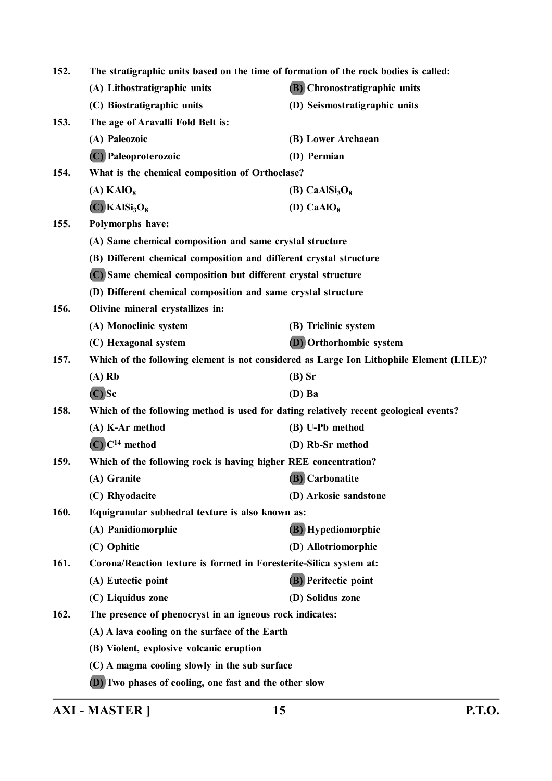| 152. | The stratigraphic units based on the time of formation of the rock bodies is called:     |                                                                                       |  |
|------|------------------------------------------------------------------------------------------|---------------------------------------------------------------------------------------|--|
|      | (A) Lithostratigraphic units                                                             | <b>(B)</b> Chronostratigraphic units                                                  |  |
|      | (C) Biostratigraphic units                                                               | (D) Seismostratigraphic units                                                         |  |
| 153. | The age of Aravalli Fold Belt is:                                                        |                                                                                       |  |
|      | (A) Paleozoic                                                                            | (B) Lower Archaean                                                                    |  |
|      | (C) Paleoproterozoic                                                                     | (D) Permian                                                                           |  |
| 154. | What is the chemical composition of Orthoclase?                                          |                                                                                       |  |
|      | $(A)$ KAlO <sub>8</sub>                                                                  | (B) CaAlSi <sub>3</sub> O <sub>8</sub>                                                |  |
|      | $(C)$ KAlSi <sub>3</sub> O <sub>8</sub>                                                  | (D) $CaAlO8$                                                                          |  |
| 155. | Polymorphs have:                                                                         |                                                                                       |  |
|      | (A) Same chemical composition and same crystal structure                                 |                                                                                       |  |
|      | (B) Different chemical composition and different crystal structure                       |                                                                                       |  |
|      | (C) Same chemical composition but different crystal structure                            |                                                                                       |  |
|      | (D) Different chemical composition and same crystal structure                            |                                                                                       |  |
| 156. | Olivine mineral crystallizes in:                                                         |                                                                                       |  |
|      | (A) Monoclinic system                                                                    | (B) Triclinic system                                                                  |  |
|      | (C) Hexagonal system                                                                     | (D) Orthorhombic system                                                               |  |
| 157. | Which of the following element is not considered as Large Ion Lithophile Element (LILE)? |                                                                                       |  |
|      | $(A)$ Rb                                                                                 | $(B)$ Sr                                                                              |  |
|      | $(C)$ Sc                                                                                 | $(D)$ Ba                                                                              |  |
| 158. |                                                                                          | Which of the following method is used for dating relatively recent geological events? |  |
|      | (A) K-Ar method                                                                          | (B) U-Pb method                                                                       |  |
|      | $(C)$ $C14$ method                                                                       | (D) Rb-Sr method                                                                      |  |
| 159. | Which of the following rock is having higher REE concentration?                          |                                                                                       |  |
|      | (A) Granite                                                                              | (B) Carbonatite                                                                       |  |
|      | (C) Rhyodacite                                                                           | (D) Arkosic sandstone                                                                 |  |
| 160. | Equigranular subhedral texture is also known as:                                         |                                                                                       |  |
|      | (A) Panidiomorphic                                                                       | (B) Hypediomorphic                                                                    |  |
|      | (C) Ophitic                                                                              | (D) Allotriomorphic                                                                   |  |
| 161. | Corona/Reaction texture is formed in Foresterite-Silica system at:                       |                                                                                       |  |
|      | (A) Eutectic point                                                                       | <b>(B)</b> Peritectic point                                                           |  |
|      | (C) Liquidus zone                                                                        | (D) Solidus zone                                                                      |  |
| 162. | The presence of phenocryst in an igneous rock indicates:                                 |                                                                                       |  |
|      | (A) A lava cooling on the surface of the Earth                                           |                                                                                       |  |
|      | (B) Violent, explosive volcanic eruption                                                 |                                                                                       |  |
|      | (C) A magma cooling slowly in the sub surface                                            |                                                                                       |  |
|      | (D) Two phases of cooling, one fast and the other slow                                   |                                                                                       |  |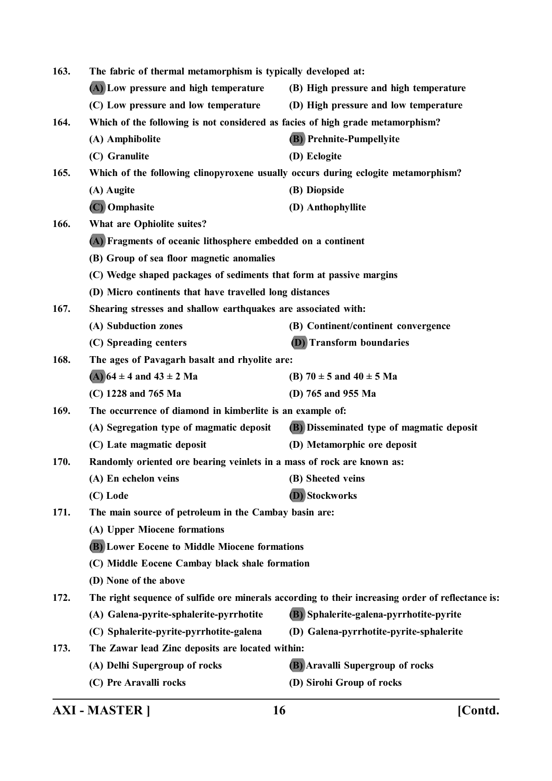| 163. | The fabric of thermal metamorphism is typically developed at:                                     |                                           |  |
|------|---------------------------------------------------------------------------------------------------|-------------------------------------------|--|
|      | (A) Low pressure and high temperature                                                             | (B) High pressure and high temperature    |  |
|      | (C) Low pressure and low temperature                                                              | (D) High pressure and low temperature     |  |
| 164. | Which of the following is not considered as facies of high grade metamorphism?                    |                                           |  |
|      | (A) Amphibolite                                                                                   | (B) Prehnite-Pumpellyite                  |  |
|      | (C) Granulite                                                                                     | (D) Eclogite                              |  |
| 165. | Which of the following clinopyroxene usually occurs during eclogite metamorphism?                 |                                           |  |
|      | (A) Augite                                                                                        | (B) Diopside                              |  |
|      | (C) Omphasite                                                                                     | (D) Anthophyllite                         |  |
| 166. | What are Ophiolite suites?                                                                        |                                           |  |
|      | (A) Fragments of oceanic lithosphere embedded on a continent                                      |                                           |  |
|      | (B) Group of sea floor magnetic anomalies                                                         |                                           |  |
|      | (C) Wedge shaped packages of sediments that form at passive margins                               |                                           |  |
|      | (D) Micro continents that have travelled long distances                                           |                                           |  |
| 167. | Shearing stresses and shallow earthquakes are associated with:                                    |                                           |  |
|      | (A) Subduction zones                                                                              | (B) Continent/continent convergence       |  |
|      | (C) Spreading centers                                                                             | (D) Transform boundaries                  |  |
| 168. | The ages of Pavagarh basalt and rhyolite are:                                                     |                                           |  |
|      | (A) $64 \pm 4$ and $43 \pm 2$ Ma                                                                  | (B) $70 \pm 5$ and $40 \pm 5$ Ma          |  |
|      | (C) 1228 and 765 Ma                                                                               | (D) 765 and 955 Ma                        |  |
| 169. | The occurrence of diamond in kimberlite is an example of:                                         |                                           |  |
|      | (A) Segregation type of magmatic deposit                                                          | (B) Disseminated type of magmatic deposit |  |
|      | (C) Late magmatic deposit                                                                         | (D) Metamorphic ore deposit               |  |
| 170. | Randomly oriented ore bearing veinlets in a mass of rock are known as:                            |                                           |  |
|      | (A) En echelon veins                                                                              | (B) Sheeted veins                         |  |
|      | (C) Lode                                                                                          | (D) Stockworks                            |  |
| 171. | The main source of petroleum in the Cambay basin are:                                             |                                           |  |
|      | (A) Upper Miocene formations                                                                      |                                           |  |
|      | <b>(B)</b> Lower Eocene to Middle Miocene formations                                              |                                           |  |
|      | (C) Middle Eocene Cambay black shale formation                                                    |                                           |  |
|      | (D) None of the above                                                                             |                                           |  |
| 172. | The right sequence of sulfide ore minerals according to their increasing order of reflectance is: |                                           |  |
|      | (A) Galena-pyrite-sphalerite-pyrrhotite                                                           | (B) Sphalerite-galena-pyrrhotite-pyrite   |  |
|      | (C) Sphalerite-pyrite-pyrrhotite-galena                                                           | (D) Galena-pyrrhotite-pyrite-sphalerite   |  |
| 173. | The Zawar lead Zinc deposits are located within:                                                  |                                           |  |
|      | (A) Delhi Supergroup of rocks                                                                     | (B) Aravalli Supergroup of rocks          |  |
|      | (C) Pre Aravalli rocks                                                                            | (D) Sirohi Group of rocks                 |  |
|      |                                                                                                   |                                           |  |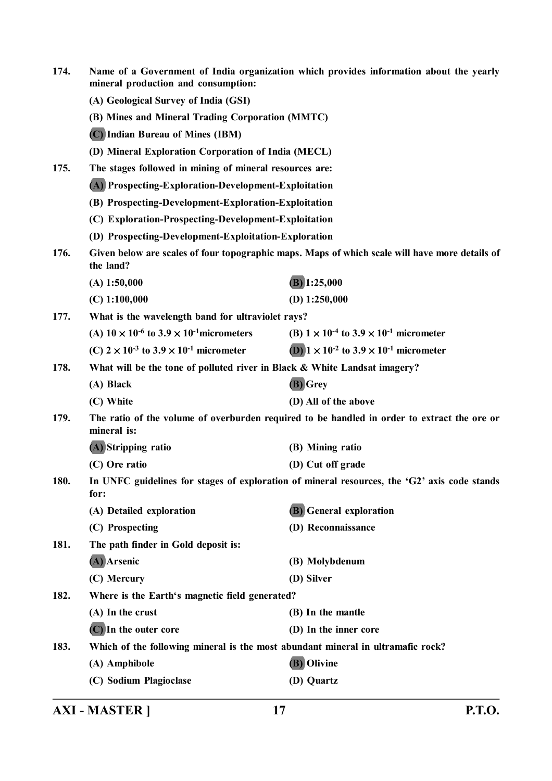| 174. | Name of a Government of India organization which provides information about the yearly<br>mineral production and consumption: |                                                                                                |
|------|-------------------------------------------------------------------------------------------------------------------------------|------------------------------------------------------------------------------------------------|
|      | (A) Geological Survey of India (GSI)                                                                                          |                                                                                                |
|      | (B) Mines and Mineral Trading Corporation (MMTC)                                                                              |                                                                                                |
|      | (C) Indian Bureau of Mines (IBM)                                                                                              |                                                                                                |
|      | (D) Mineral Exploration Corporation of India (MECL)                                                                           |                                                                                                |
| 175. | The stages followed in mining of mineral resources are:                                                                       |                                                                                                |
|      | (A) Prospecting-Exploration-Development-Exploitation                                                                          |                                                                                                |
|      | (B) Prospecting-Development-Exploration-Exploitation                                                                          |                                                                                                |
|      | (C) Exploration-Prospecting-Development-Exploitation                                                                          |                                                                                                |
|      | (D) Prospecting-Development-Exploitation-Exploration                                                                          |                                                                                                |
| 176. | the land?                                                                                                                     | Given below are scales of four topographic maps. Maps of which scale will have more details of |
|      | $(A)$ 1:50,000                                                                                                                | $(B)$ 1:25,000                                                                                 |
|      | $(C)$ 1:100,000                                                                                                               | (D) $1:250,000$                                                                                |
| 177. | What is the wavelength band for ultraviolet rays?                                                                             |                                                                                                |
|      | (A) $10 \times 10^{-6}$ to $3.9 \times 10^{-1}$ micrometers                                                                   | (B) $1 \times 10^{-4}$ to $3.9 \times 10^{-1}$ micrometer                                      |
|      | (C) $2 \times 10^{-3}$ to $3.9 \times 10^{-1}$ micrometer                                                                     | (D) $1 \times 10^{-2}$ to $3.9 \times 10^{-1}$ micrometer                                      |
| 178. | What will be the tone of polluted river in Black & White Landsat imagery?                                                     |                                                                                                |
|      | (A) Black                                                                                                                     | (B) Grey                                                                                       |
|      | (C) White                                                                                                                     | (D) All of the above                                                                           |
| 179. | mineral is:                                                                                                                   | The ratio of the volume of overburden required to be handled in order to extract the ore or    |
|      | (A) Stripping ratio                                                                                                           | (B) Mining ratio                                                                               |
|      | (C) Ore ratio                                                                                                                 | (D) Cut off grade                                                                              |
| 180. | for:                                                                                                                          | In UNFC guidelines for stages of exploration of mineral resources, the 'G2' axis code stands   |
|      | (A) Detailed exploration                                                                                                      | (B) General exploration                                                                        |
|      | (C) Prospecting                                                                                                               | (D) Reconnaissance                                                                             |
| 181. | The path finder in Gold deposit is:                                                                                           |                                                                                                |
|      | (A) Arsenic                                                                                                                   | (B) Molybdenum                                                                                 |
|      | (C) Mercury                                                                                                                   | (D) Silver                                                                                     |
| 182. | Where is the Earth's magnetic field generated?                                                                                |                                                                                                |
|      | (A) In the crust                                                                                                              | (B) In the mantle                                                                              |
|      | (C) In the outer core                                                                                                         | (D) In the inner core                                                                          |
| 183. | Which of the following mineral is the most abundant mineral in ultramafic rock?                                               |                                                                                                |
|      | (A) Amphibole                                                                                                                 | (B) Olivine                                                                                    |
|      | (C) Sodium Plagioclase                                                                                                        | (D) Quartz                                                                                     |
|      |                                                                                                                               |                                                                                                |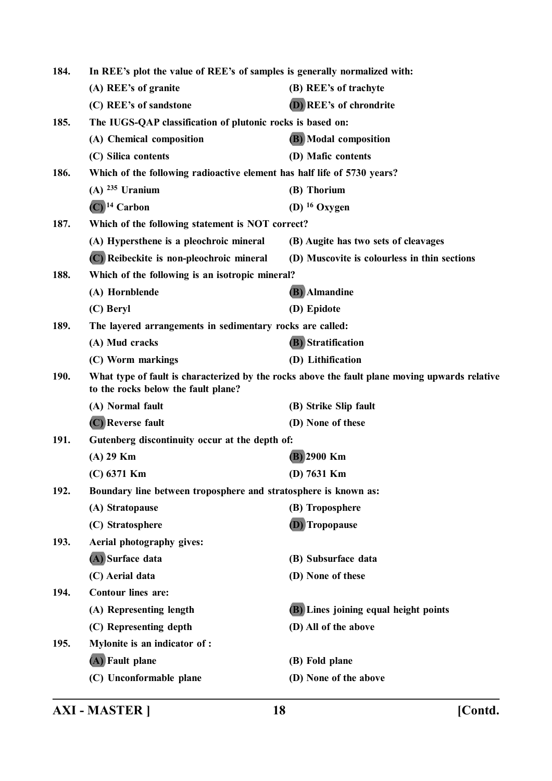| 184. | In REE's plot the value of REE's of samples is generally normalized with: |                                                                                                |
|------|---------------------------------------------------------------------------|------------------------------------------------------------------------------------------------|
|      | (A) REE's of granite                                                      | (B) REE's of trachyte                                                                          |
|      | (C) REE's of sandstone                                                    | (D) REE's of chrondrite                                                                        |
| 185. | The IUGS-QAP classification of plutonic rocks is based on:                |                                                                                                |
|      | (A) Chemical composition                                                  | (B) Modal composition                                                                          |
|      | (C) Silica contents                                                       | (D) Mafic contents                                                                             |
| 186. | Which of the following radioactive element has half life of 5730 years?   |                                                                                                |
|      | $(A)$ <sup>235</sup> Uranium                                              | (B) Thorium                                                                                    |
|      | $(C)$ <sup>14</sup> Carbon                                                | (D) $16$ Oxygen                                                                                |
| 187. | Which of the following statement is NOT correct?                          |                                                                                                |
|      | (A) Hypersthene is a pleochroic mineral                                   | (B) Augite has two sets of cleavages                                                           |
|      | (C) Reibeckite is non-pleochroic mineral                                  | (D) Muscovite is colourless in thin sections                                                   |
| 188. | Which of the following is an isotropic mineral?                           |                                                                                                |
|      | (A) Hornblende                                                            | (B) Almandine                                                                                  |
|      | (C) Beryl                                                                 | (D) Epidote                                                                                    |
| 189. | The layered arrangements in sedimentary rocks are called:                 |                                                                                                |
|      | (A) Mud cracks                                                            | (B) Stratification                                                                             |
|      | (C) Worm markings                                                         | (D) Lithification                                                                              |
| 190. | to the rocks below the fault plane?                                       | What type of fault is characterized by the rocks above the fault plane moving upwards relative |
|      | (A) Normal fault                                                          | (B) Strike Slip fault                                                                          |
|      | (C) Reverse fault                                                         | (D) None of these                                                                              |
| 191. | Gutenberg discontinuity occur at the depth of:                            |                                                                                                |
|      | $(A)$ 29 Km                                                               | (B) 2900 Km                                                                                    |
|      | $(C)$ 6371 Km                                                             | (D) $7631$ Km                                                                                  |
| 192. | Boundary line between troposphere and stratosphere is known as:           |                                                                                                |
|      | (A) Stratopause                                                           | (B) Troposphere                                                                                |
|      | (C) Stratosphere                                                          | (D) Tropopause                                                                                 |
| 193. | Aerial photography gives:                                                 |                                                                                                |
|      | (A) Surface data                                                          | (B) Subsurface data                                                                            |
|      | (C) Aerial data                                                           | (D) None of these                                                                              |
| 194. | <b>Contour lines are:</b>                                                 |                                                                                                |
|      | (A) Representing length                                                   | (B) Lines joining equal height points                                                          |
|      | (C) Representing depth                                                    | (D) All of the above                                                                           |
| 195. | Mylonite is an indicator of :                                             |                                                                                                |
|      | (A) Fault plane                                                           | (B) Fold plane                                                                                 |
|      | (C) Unconformable plane                                                   | (D) None of the above                                                                          |
|      |                                                                           |                                                                                                |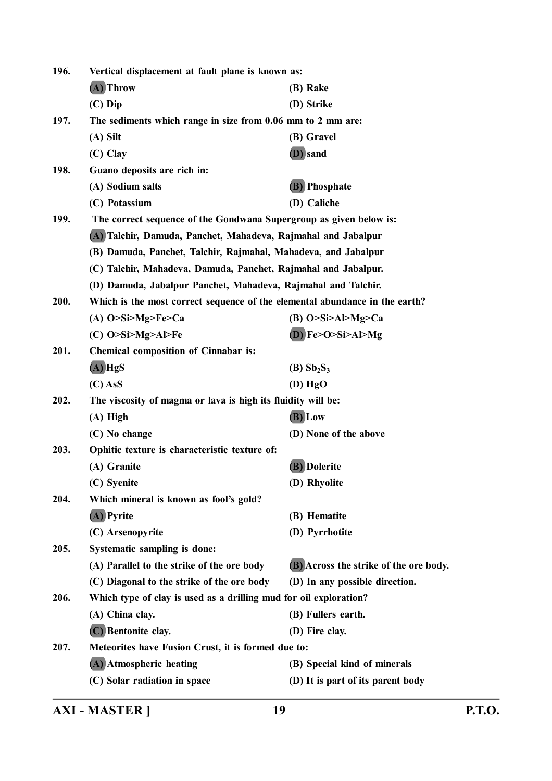| 196. | Vertical displacement at fault plane is known as:                           |                                        |  |
|------|-----------------------------------------------------------------------------|----------------------------------------|--|
|      | (A) Throw                                                                   | (B) Rake                               |  |
|      | $(C)$ Dip                                                                   | (D) Strike                             |  |
| 197. | The sediments which range in size from 0.06 mm to 2 mm are:                 |                                        |  |
|      | $(A)$ Silt                                                                  | (B) Gravel                             |  |
|      | $(C)$ Clay                                                                  | (D) sand                               |  |
| 198. | Guano deposits are rich in:                                                 |                                        |  |
|      | (A) Sodium salts                                                            | (B) Phosphate                          |  |
|      | (C) Potassium                                                               | (D) Caliche                            |  |
| 199. | The correct sequence of the Gondwana Supergroup as given below is:          |                                        |  |
|      | (A) Talchir, Damuda, Panchet, Mahadeva, Rajmahal and Jabalpur               |                                        |  |
|      | (B) Damuda, Panchet, Talchir, Rajmahal, Mahadeva, and Jabalpur              |                                        |  |
|      | (C) Talchir, Mahadeva, Damuda, Panchet, Rajmahal and Jabalpur.              |                                        |  |
|      | (D) Damuda, Jabalpur Panchet, Mahadeva, Rajmahal and Talchir.               |                                        |  |
| 200. | Which is the most correct sequence of the elemental abundance in the earth? |                                        |  |
|      | (A) $O>Si>Mg>Fe>Ca$                                                         | (B) $O>Si>Al>Mg>Ca$                    |  |
|      | $(C)$ O>Si>Mg>Al>Fe                                                         | $(D)$ Fe>O>Si>Al>Mg                    |  |
| 201. | <b>Chemical composition of Cinnabar is:</b>                                 |                                        |  |
|      | $(A)$ HgS                                                                   | $(B)$ Sb <sub>2</sub> S <sub>3</sub>   |  |
|      | $(C)$ AsS                                                                   | $(D)$ HgO                              |  |
| 202. | The viscosity of magma or lava is high its fluidity will be:                |                                        |  |
|      | $(A)$ High                                                                  | (B) Low                                |  |
|      | (C) No change                                                               | (D) None of the above                  |  |
| 203. | Ophitic texture is characteristic texture of:                               |                                        |  |
|      | (A) Granite                                                                 | (B) Dolerite                           |  |
|      | (C) Syenite                                                                 | (D) Rhyolite                           |  |
| 204. | Which mineral is known as fool's gold?                                      |                                        |  |
|      | (A) Pyrite                                                                  | (B) Hematite                           |  |
|      | (C) Arsenopyrite                                                            | (D) Pyrrhotite                         |  |
| 205. | Systematic sampling is done:                                                |                                        |  |
|      | (A) Parallel to the strike of the ore body                                  | (B) Across the strike of the ore body. |  |
|      | (C) Diagonal to the strike of the ore body                                  | (D) In any possible direction.         |  |
| 206. | Which type of clay is used as a drilling mud for oil exploration?           |                                        |  |
|      | (A) China clay.                                                             | (B) Fullers earth.                     |  |
|      | (C) Bentonite clay.                                                         | (D) Fire clay.                         |  |
| 207. | Meteorites have Fusion Crust, it is formed due to:                          |                                        |  |
|      | (A) Atmospheric heating                                                     | (B) Special kind of minerals           |  |
|      | (C) Solar radiation in space                                                | (D) It is part of its parent body      |  |
|      |                                                                             |                                        |  |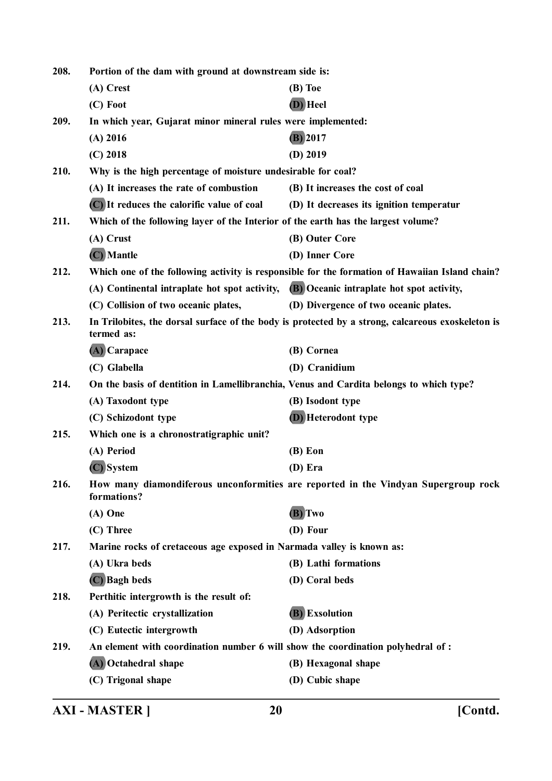| 208. | Portion of the dam with ground at downstream side is:                                   |                                                                                                   |
|------|-----------------------------------------------------------------------------------------|---------------------------------------------------------------------------------------------------|
|      | (A) Crest                                                                               | (B) Toe                                                                                           |
|      | (C) Foot                                                                                | (D) Heel                                                                                          |
| 209. | In which year, Gujarat minor mineral rules were implemented:                            |                                                                                                   |
|      | $(A)$ 2016                                                                              | $(B)$ 2017                                                                                        |
|      | $(C)$ 2018                                                                              | $(D)$ 2019                                                                                        |
| 210. | Why is the high percentage of moisture undesirable for coal?                            |                                                                                                   |
|      | (A) It increases the rate of combustion                                                 | (B) It increases the cost of coal                                                                 |
|      | (C) It reduces the calorific value of coal                                              | (D) It decreases its ignition temperatur                                                          |
| 211. | Which of the following layer of the Interior of the earth has the largest volume?       |                                                                                                   |
|      | (A) Crust                                                                               | (B) Outer Core                                                                                    |
|      | (C) Mantle                                                                              | (D) Inner Core                                                                                    |
| 212. |                                                                                         | Which one of the following activity is responsible for the formation of Hawaiian Island chain?    |
|      | (A) Continental intraplate hot spot activity, (B) Oceanic intraplate hot spot activity, |                                                                                                   |
|      | (C) Collision of two oceanic plates,                                                    | (D) Divergence of two oceanic plates.                                                             |
| 213. | termed as:                                                                              | In Trilobites, the dorsal surface of the body is protected by a strong, calcareous exoskeleton is |
|      | (A) Carapace                                                                            | (B) Cornea                                                                                        |
|      | (C) Glabella                                                                            | (D) Cranidium                                                                                     |
| 214. | On the basis of dentition in Lamellibranchia, Venus and Cardita belongs to which type?  |                                                                                                   |
|      | (A) Taxodont type                                                                       | (B) Isodont type                                                                                  |
|      | (C) Schizodont type                                                                     | <b>(D)</b> Heterodont type                                                                        |
| 215. | Which one is a chronostratigraphic unit?                                                |                                                                                                   |
|      | (A) Period                                                                              | $(B)$ Eon                                                                                         |
|      | (C) System                                                                              | (D) Era                                                                                           |
| 216. | formations?                                                                             | How many diamondiferous unconformities are reported in the Vindyan Supergroup rock                |
|      | $(A)$ One                                                                               | (B) Two                                                                                           |
|      | (C) Three                                                                               | (D) Four                                                                                          |
| 217. | Marine rocks of cretaceous age exposed in Narmada valley is known as:                   |                                                                                                   |
|      | (A) Ukra beds                                                                           | (B) Lathi formations                                                                              |
|      | (C) Bagh beds                                                                           | (D) Coral beds                                                                                    |
| 218. | Perthitic intergrowth is the result of:                                                 |                                                                                                   |
|      | (A) Peritectic crystallization                                                          | (B) Exsolution                                                                                    |
|      | (C) Eutectic intergrowth                                                                | (D) Adsorption                                                                                    |
| 219. | An element with coordination number 6 will show the coordination polyhedral of :        |                                                                                                   |
|      | (A) Octahedral shape                                                                    | (B) Hexagonal shape                                                                               |
|      | (C) Trigonal shape                                                                      | (D) Cubic shape                                                                                   |
|      |                                                                                         |                                                                                                   |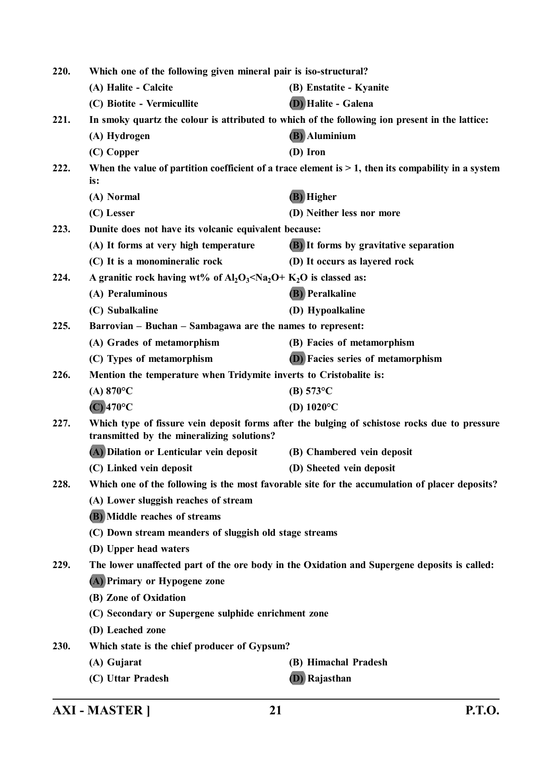| 220.<br>Which one of the following given mineral pair is iso-structural?                                                                            |                                                                                              |                                                                                                        |  |
|-----------------------------------------------------------------------------------------------------------------------------------------------------|----------------------------------------------------------------------------------------------|--------------------------------------------------------------------------------------------------------|--|
|                                                                                                                                                     | (A) Halite - Calcite                                                                         | (B) Enstatite - Kyanite                                                                                |  |
|                                                                                                                                                     | (C) Biotite - Vermicullite                                                                   | <b>(D)</b> Halite - Galena                                                                             |  |
| 221.                                                                                                                                                |                                                                                              | In smoky quartz the colour is attributed to which of the following ion present in the lattice:         |  |
|                                                                                                                                                     | (A) Hydrogen                                                                                 | (B) Aluminium                                                                                          |  |
|                                                                                                                                                     | (C) Copper                                                                                   | (D) Iron                                                                                               |  |
| 222.                                                                                                                                                | is:                                                                                          | When the value of partition coefficient of a trace element is $> 1$ , then its compability in a system |  |
|                                                                                                                                                     | (A) Normal                                                                                   | (B) Higher                                                                                             |  |
|                                                                                                                                                     | (C) Lesser                                                                                   | (D) Neither less nor more                                                                              |  |
| 223.                                                                                                                                                | Dunite does not have its volcanic equivalent because:                                        |                                                                                                        |  |
|                                                                                                                                                     | (A) It forms at very high temperature                                                        | <b>(B)</b> It forms by gravitative separation                                                          |  |
|                                                                                                                                                     | (C) It is a monomineralic rock                                                               | (D) It occurs as layered rock                                                                          |  |
| 224.                                                                                                                                                | A granitic rock having wt% of $Al_2O_3 is classed as:$                                       |                                                                                                        |  |
|                                                                                                                                                     | (A) Peraluminous                                                                             | <b>(B)</b> Peralkaline                                                                                 |  |
|                                                                                                                                                     | (C) Subalkaline                                                                              | (D) Hypoalkaline                                                                                       |  |
| 225.                                                                                                                                                | Barrovian – Buchan – Sambagawa are the names to represent:                                   |                                                                                                        |  |
|                                                                                                                                                     | (A) Grades of metamorphism                                                                   | (B) Facies of metamorphism                                                                             |  |
|                                                                                                                                                     | (C) Types of metamorphism                                                                    | <b>(D)</b> Facies series of metamorphism                                                               |  |
| 226.                                                                                                                                                | Mention the temperature when Tridymite inverts to Cristobalite is:                           |                                                                                                        |  |
|                                                                                                                                                     | (A) $870^{\circ}$ C                                                                          | $(B) 573^{\circ}C$                                                                                     |  |
|                                                                                                                                                     | $(C)$ 470°C                                                                                  | (D) $1020^{\circ}$ C                                                                                   |  |
| 227.<br>Which type of fissure vein deposit forms after the bulging of schistose rocks due to pressure<br>transmitted by the mineralizing solutions? |                                                                                              |                                                                                                        |  |
|                                                                                                                                                     | (A) Dilation or Lenticular vein deposit                                                      | (B) Chambered vein deposit                                                                             |  |
|                                                                                                                                                     | (C) Linked vein deposit                                                                      | (D) Sheeted vein deposit                                                                               |  |
| 228.                                                                                                                                                |                                                                                              | Which one of the following is the most favorable site for the accumulation of placer deposits?         |  |
|                                                                                                                                                     | (A) Lower sluggish reaches of stream                                                         |                                                                                                        |  |
|                                                                                                                                                     | (B) Middle reaches of streams                                                                |                                                                                                        |  |
|                                                                                                                                                     | (C) Down stream meanders of sluggish old stage streams                                       |                                                                                                        |  |
|                                                                                                                                                     | (D) Upper head waters                                                                        |                                                                                                        |  |
| 229.                                                                                                                                                | The lower unaffected part of the ore body in the Oxidation and Supergene deposits is called: |                                                                                                        |  |
|                                                                                                                                                     | (A) Primary or Hypogene zone                                                                 |                                                                                                        |  |
|                                                                                                                                                     | (B) Zone of Oxidation                                                                        |                                                                                                        |  |
|                                                                                                                                                     | (C) Secondary or Supergene sulphide enrichment zone                                          |                                                                                                        |  |
|                                                                                                                                                     | (D) Leached zone                                                                             |                                                                                                        |  |
| 230.                                                                                                                                                | Which state is the chief producer of Gypsum?                                                 |                                                                                                        |  |
|                                                                                                                                                     | (A) Gujarat                                                                                  | (B) Himachal Pradesh                                                                                   |  |
|                                                                                                                                                     | (C) Uttar Pradesh                                                                            | (D) Rajasthan                                                                                          |  |
|                                                                                                                                                     |                                                                                              |                                                                                                        |  |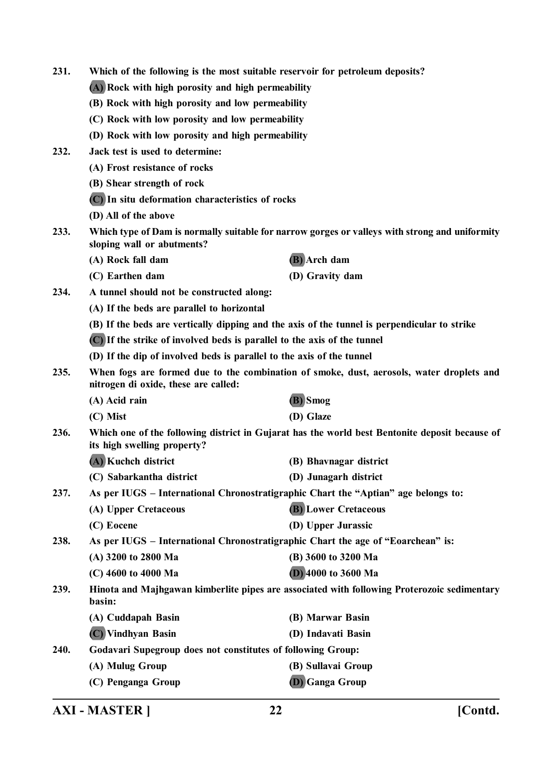| 231. | Which of the following is the most suitable reservoir for petroleum deposits?                                                    |                                                                                                |  |  |
|------|----------------------------------------------------------------------------------------------------------------------------------|------------------------------------------------------------------------------------------------|--|--|
|      | (A) Rock with high porosity and high permeability                                                                                |                                                                                                |  |  |
|      | (B) Rock with high porosity and low permeability                                                                                 |                                                                                                |  |  |
|      | (C) Rock with low porosity and low permeability                                                                                  |                                                                                                |  |  |
|      | (D) Rock with low porosity and high permeability                                                                                 |                                                                                                |  |  |
| 232. | Jack test is used to determine:                                                                                                  |                                                                                                |  |  |
|      | (A) Frost resistance of rocks                                                                                                    |                                                                                                |  |  |
|      | (B) Shear strength of rock                                                                                                       |                                                                                                |  |  |
|      | (C) In situ deformation characteristics of rocks                                                                                 |                                                                                                |  |  |
|      | (D) All of the above                                                                                                             |                                                                                                |  |  |
| 233. | sloping wall or abutments?                                                                                                       | Which type of Dam is normally suitable for narrow gorges or valleys with strong and uniformity |  |  |
|      | (A) Rock fall dam                                                                                                                | (B) Arch dam                                                                                   |  |  |
|      | (C) Earthen dam                                                                                                                  | (D) Gravity dam                                                                                |  |  |
| 234. | A tunnel should not be constructed along:                                                                                        |                                                                                                |  |  |
|      | (A) If the beds are parallel to horizontal                                                                                       |                                                                                                |  |  |
|      | (B) If the beds are vertically dipping and the axis of the tunnel is perpendicular to strike                                     |                                                                                                |  |  |
|      |                                                                                                                                  | (C) If the strike of involved beds is parallel to the axis of the tunnel                       |  |  |
|      | (D) If the dip of involved beds is parallel to the axis of the tunnel                                                            |                                                                                                |  |  |
| 235. | When fogs are formed due to the combination of smoke, dust, aerosols, water droplets and<br>nitrogen di oxide, these are called: |                                                                                                |  |  |
|      | (A) Acid rain                                                                                                                    | (B) Smog                                                                                       |  |  |
|      | (C) Mist                                                                                                                         | (D) Glaze                                                                                      |  |  |
| 236. | Which one of the following district in Gujarat has the world best Bentonite deposit because of<br>its high swelling property?    |                                                                                                |  |  |
|      | (A) Kuchch district                                                                                                              | (B) Bhavnagar district                                                                         |  |  |
|      | (C) Sabarkantha district                                                                                                         | (D) Junagarh district                                                                          |  |  |
| 237. | As per IUGS – International Chronostratigraphic Chart the "Aptian" age belongs to:                                               |                                                                                                |  |  |
|      | (A) Upper Cretaceous                                                                                                             | <b>(B)</b> Lower Cretaceous                                                                    |  |  |
|      | (C) Eocene                                                                                                                       | (D) Upper Jurassic                                                                             |  |  |
| 238. | As per IUGS – International Chronostratigraphic Chart the age of "Eoarchean" is:                                                 |                                                                                                |  |  |
|      | (A) 3200 to 2800 Ma                                                                                                              | (B) 3600 to 3200 Ma                                                                            |  |  |
|      | (C) 4600 to 4000 Ma                                                                                                              | (D) 4000 to 3600 Ma                                                                            |  |  |
| 239. | Hinota and Majhgawan kimberlite pipes are associated with following Proterozoic sedimentary<br>basin:                            |                                                                                                |  |  |
|      | (A) Cuddapah Basin                                                                                                               | (B) Marwar Basin                                                                               |  |  |
|      | (C) Vindhyan Basin                                                                                                               | (D) Indavati Basin                                                                             |  |  |
| 240. | <b>Godavari Supegroup does not constitutes of following Group:</b>                                                               |                                                                                                |  |  |
|      | (A) Mulug Group                                                                                                                  | (B) Sullavai Group                                                                             |  |  |
|      | (C) Penganga Group                                                                                                               | (D) Ganga Group                                                                                |  |  |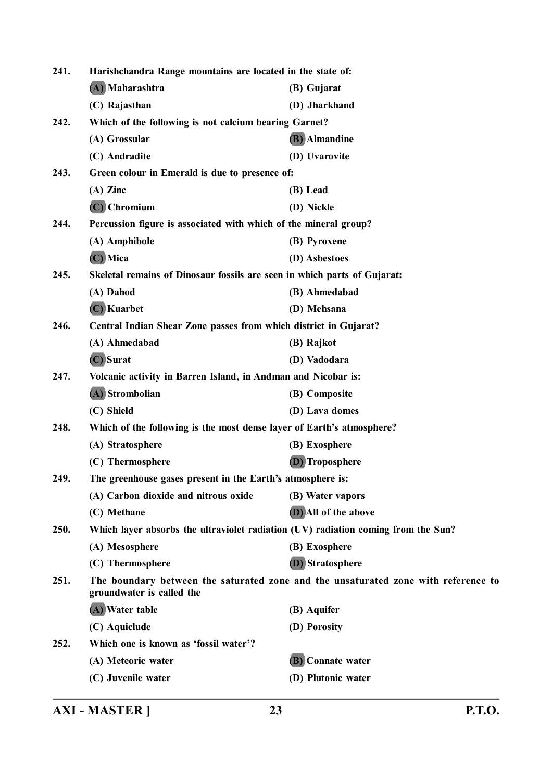| 241. | Harishchandra Range mountains are located in the state of:                        |                                                                                    |
|------|-----------------------------------------------------------------------------------|------------------------------------------------------------------------------------|
|      | (A) Maharashtra                                                                   | (B) Gujarat                                                                        |
|      | (C) Rajasthan                                                                     | (D) Jharkhand                                                                      |
| 242. | Which of the following is not calcium bearing Garnet?                             |                                                                                    |
|      | (A) Grossular                                                                     | (B) Almandine                                                                      |
|      | (C) Andradite                                                                     | (D) Uvarovite                                                                      |
| 243. | Green colour in Emerald is due to presence of:                                    |                                                                                    |
|      | $(A)$ Zinc                                                                        | (B) Lead                                                                           |
|      | $(C)$ Chromium                                                                    | (D) Nickle                                                                         |
| 244. | Percussion figure is associated with which of the mineral group?                  |                                                                                    |
|      | (A) Amphibole                                                                     | (B) Pyroxene                                                                       |
|      | (C) Mica                                                                          | (D) Asbestoes                                                                      |
| 245. | Skeletal remains of Dinosaur fossils are seen in which parts of Gujarat:          |                                                                                    |
|      | (A) Dahod                                                                         | (B) Ahmedabad                                                                      |
|      | (C) Kuarbet                                                                       | (D) Mehsana                                                                        |
| 246. | Central Indian Shear Zone passes from which district in Gujarat?                  |                                                                                    |
|      | (A) Ahmedabad                                                                     | (B) Rajkot                                                                         |
|      | (C) Surat                                                                         | (D) Vadodara                                                                       |
| 247. | Volcanic activity in Barren Island, in Andman and Nicobar is:                     |                                                                                    |
|      | (A) Strombolian                                                                   | (B) Composite                                                                      |
|      | (C) Shield                                                                        | (D) Lava domes                                                                     |
| 248. | Which of the following is the most dense layer of Earth's atmosphere?             |                                                                                    |
|      | (A) Stratosphere                                                                  | (B) Exosphere                                                                      |
|      | (C) Thermosphere                                                                  | (D) Troposphere                                                                    |
| 249. | The greenhouse gases present in the Earth's atmosphere is:                        |                                                                                    |
|      | (A) Carbon dioxide and nitrous oxide                                              | (B) Water vapors                                                                   |
|      | (C) Methane                                                                       | (D) All of the above                                                               |
| 250. | Which layer absorbs the ultraviolet radiation (UV) radiation coming from the Sun? |                                                                                    |
|      | (A) Mesosphere                                                                    | (B) Exosphere                                                                      |
|      | (C) Thermosphere                                                                  | <b>(D)</b> Stratosphere                                                            |
| 251. | groundwater is called the                                                         | The boundary between the saturated zone and the unsaturated zone with reference to |
|      | (A) Water table                                                                   | (B) Aquifer                                                                        |
|      | (C) Aquiclude                                                                     | (D) Porosity                                                                       |
| 252. | Which one is known as 'fossil water'?                                             |                                                                                    |
|      | (A) Meteoric water                                                                | (B) Connate water                                                                  |
|      | (C) Juvenile water                                                                | (D) Plutonic water                                                                 |
|      |                                                                                   |                                                                                    |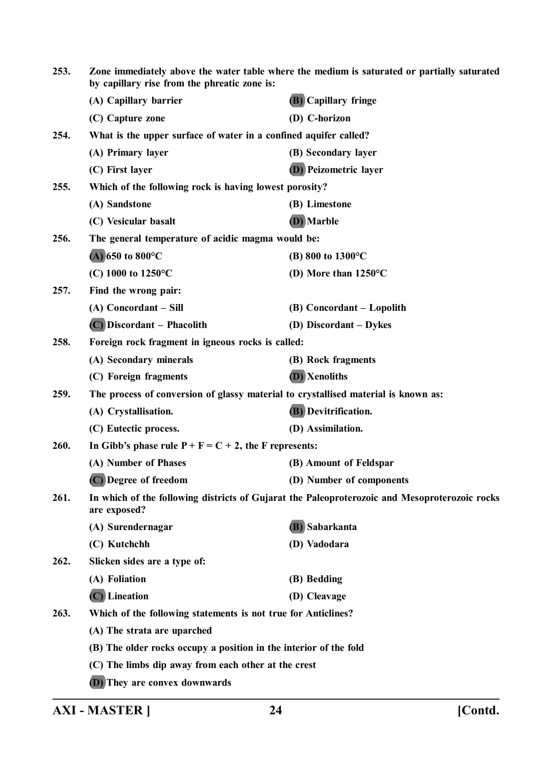| 253. | Zone immediately above the water table where the medium is saturated or partially saturated<br>by capillary rise from the phreatic zone is: |                                                                                               |  |
|------|---------------------------------------------------------------------------------------------------------------------------------------------|-----------------------------------------------------------------------------------------------|--|
|      | (A) Capillary barrier                                                                                                                       | (B) Capillary fringe                                                                          |  |
|      | (C) Capture zone                                                                                                                            | (D) C-horizon                                                                                 |  |
| 254. |                                                                                                                                             | What is the upper surface of water in a confined aquifer called?                              |  |
|      | (A) Primary layer                                                                                                                           | (B) Secondary layer                                                                           |  |
|      | (C) First layer                                                                                                                             | <b>D</b> ) Peizometric layer                                                                  |  |
| 255. | Which of the following rock is having lowest porosity?                                                                                      |                                                                                               |  |
|      | (A) Sandstone                                                                                                                               | (B) Limestone                                                                                 |  |
|      | (C) Vesicular basalt                                                                                                                        | (D) Marble                                                                                    |  |
| 256. | The general temperature of acidic magma would be:                                                                                           |                                                                                               |  |
|      | (A) 650 to 800 $^{\circ}$ C                                                                                                                 | (B) 800 to $1300^{\circ}$ C                                                                   |  |
|      | (C) 1000 to $1250^{\circ}$ C                                                                                                                | (D) More than $1250^{\circ}$ C                                                                |  |
| 257. | Find the wrong pair:                                                                                                                        |                                                                                               |  |
|      | (A) Concordant - Sill                                                                                                                       | (B) Concordant – Lopolith                                                                     |  |
|      | (C) Discordant – Phacolith                                                                                                                  | (D) Discordant – Dykes                                                                        |  |
| 258. | Foreign rock fragment in igneous rocks is called:                                                                                           |                                                                                               |  |
|      | (A) Secondary minerals                                                                                                                      | (B) Rock fragments                                                                            |  |
|      | (C) Foreign fragments                                                                                                                       | (D) Xenoliths                                                                                 |  |
| 259. | The process of conversion of glassy material to crystallised material is known as:                                                          |                                                                                               |  |
|      | (A) Crystallisation.                                                                                                                        | <b>(B)</b> Devitrification.                                                                   |  |
|      | (C) Eutectic process.                                                                                                                       | (D) Assimilation.                                                                             |  |
| 260. | In Gibb's phase rule $P + F = C + 2$ , the F represents:                                                                                    |                                                                                               |  |
|      | (A) Number of Phases                                                                                                                        | (B) Amount of Feldspar                                                                        |  |
|      | (C) Degree of freedom                                                                                                                       | (D) Number of components                                                                      |  |
| 261. | are exposed?                                                                                                                                | In which of the following districts of Gujarat the Paleoproterozoic and Mesoproterozoic rocks |  |
|      | (A) Surendernagar                                                                                                                           | (B) Sabarkanta                                                                                |  |
|      | (C) Kutchchh                                                                                                                                | (D) Vadodara                                                                                  |  |
| 262. | Slicken sides are a type of:                                                                                                                |                                                                                               |  |
|      | (A) Foliation                                                                                                                               | (B) Bedding                                                                                   |  |
|      | $(C)$ Lineation                                                                                                                             | (D) Cleavage                                                                                  |  |
| 263. | Which of the following statements is not true for Anticlines?                                                                               |                                                                                               |  |
|      | (A) The strata are uparched                                                                                                                 |                                                                                               |  |
|      | (B) The older rocks occupy a position in the interior of the fold                                                                           |                                                                                               |  |
|      | (C) The limbs dip away from each other at the crest                                                                                         |                                                                                               |  |
|      | (D) They are convex downwards                                                                                                               |                                                                                               |  |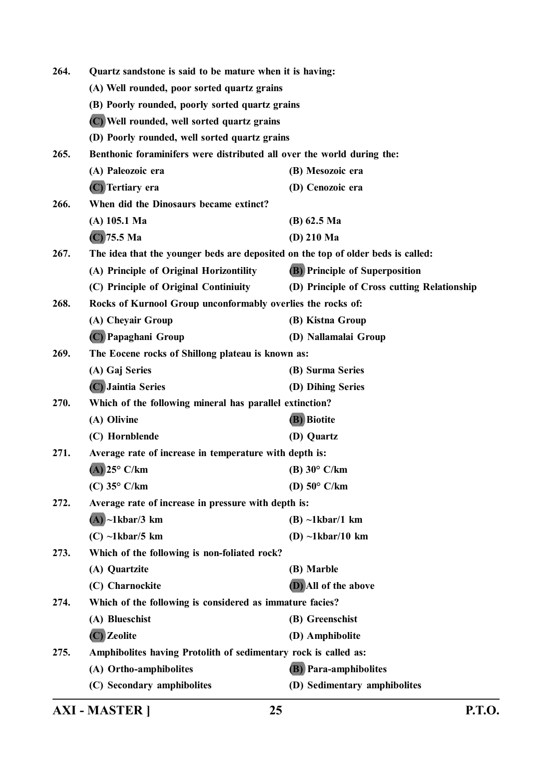| 264.                                                        | Quartz sandstone is said to be mature when it is having:                         |                                             |  |
|-------------------------------------------------------------|----------------------------------------------------------------------------------|---------------------------------------------|--|
|                                                             | (A) Well rounded, poor sorted quartz grains                                      |                                             |  |
|                                                             | (B) Poorly rounded, poorly sorted quartz grains                                  |                                             |  |
|                                                             | (C) Well rounded, well sorted quartz grains                                      |                                             |  |
|                                                             | (D) Poorly rounded, well sorted quartz grains                                    |                                             |  |
| 265.                                                        | Benthonic foraminifers were distributed all over the world during the:           |                                             |  |
|                                                             | (A) Paleozoic era                                                                | (B) Mesozoic era                            |  |
|                                                             | (C) Tertiary era                                                                 | (D) Cenozoic era                            |  |
| 266.                                                        | When did the Dinosaurs became extinct?                                           |                                             |  |
|                                                             | $(A)$ 105.1 Ma                                                                   | $(B)$ 62.5 Ma                               |  |
|                                                             | $(C)$ 75.5 Ma                                                                    | $(D)$ 210 Ma                                |  |
| 267.                                                        | The idea that the younger beds are deposited on the top of older beds is called: |                                             |  |
|                                                             | (A) Principle of Original Horizontility                                          | <b>(B)</b> Principle of Superposition       |  |
|                                                             | (C) Principle of Original Continiuity                                            | (D) Principle of Cross cutting Relationship |  |
| 268.                                                        | Rocks of Kurnool Group unconformably overlies the rocks of:                      |                                             |  |
|                                                             | (A) Cheyair Group                                                                | (B) Kistna Group                            |  |
|                                                             | (C) Papaghani Group                                                              | (D) Nallamalai Group                        |  |
| 269.                                                        | The Eocene rocks of Shillong plateau is known as:                                |                                             |  |
|                                                             | (A) Gaj Series                                                                   | (B) Surma Series                            |  |
|                                                             | (C) Jaintia Series                                                               | (D) Dihing Series                           |  |
| 270.                                                        | Which of the following mineral has parallel extinction?                          |                                             |  |
|                                                             | (A) Olivine                                                                      | (B) Biotite                                 |  |
|                                                             | (C) Hornblende                                                                   | (D) Quartz                                  |  |
| 271.                                                        | Average rate of increase in temperature with depth is:                           |                                             |  |
|                                                             | $(A)$ 25° C/km                                                                   | $(B)$ 30 $\degree$ C/km                     |  |
|                                                             | $(C)$ 35° $C/km$                                                                 | (D) $50^{\circ}$ C/km                       |  |
| Average rate of increase in pressure with depth is:<br>272. |                                                                                  |                                             |  |
|                                                             | $(A)$ ~1kbar/3 km                                                                | $(B) \sim 1$ kbar/1 km                      |  |
|                                                             | $(C) \sim 1$ kbar/5 km                                                           | (D) $\sim$ 1kbar/10 km                      |  |
| 273.                                                        | Which of the following is non-foliated rock?                                     |                                             |  |
|                                                             | (A) Quartzite                                                                    | (B) Marble                                  |  |
|                                                             | (C) Charnockite                                                                  | (D) All of the above                        |  |
| 274.                                                        | Which of the following is considered as immature facies?                         |                                             |  |
|                                                             | (A) Blueschist                                                                   | (B) Greenschist                             |  |
|                                                             | (C) Zeolite                                                                      | (D) Amphibolite                             |  |
| 275.                                                        | Amphibolites having Protolith of sedimentary rock is called as:                  |                                             |  |
|                                                             | (A) Ortho-amphibolites                                                           | <b>(B)</b> Para-amphibolites                |  |
|                                                             | (C) Secondary amphibolites                                                       | (D) Sedimentary amphibolites                |  |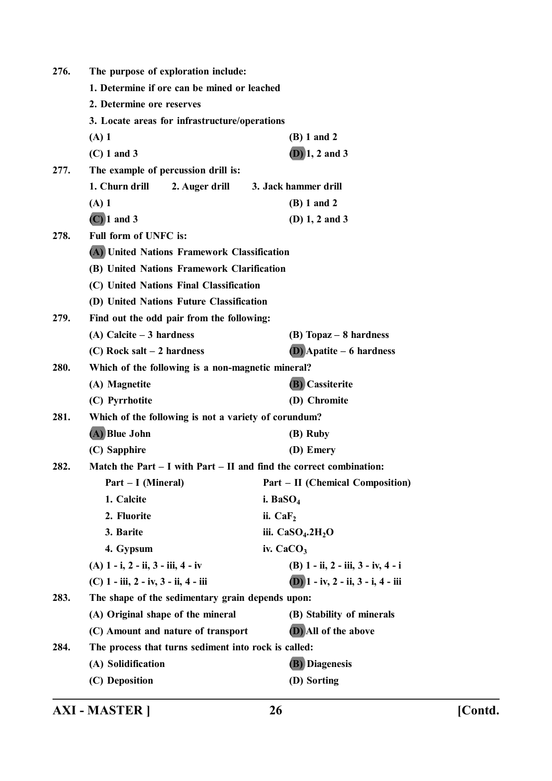| 276. | The purpose of exploration include:                                 |                                         |  |
|------|---------------------------------------------------------------------|-----------------------------------------|--|
|      | 1. Determine if ore can be mined or leached                         |                                         |  |
|      | 2. Determine ore reserves                                           |                                         |  |
|      | 3. Locate areas for infrastructure/operations                       |                                         |  |
|      | $(A)$ 1                                                             | (B) 1 and 2                             |  |
|      | $(C)$ 1 and 3                                                       | $(D)$ 1, 2 and 3                        |  |
| 277. | The example of percussion drill is:                                 |                                         |  |
|      | 1. Churn drill<br>2. Auger drill                                    | 3. Jack hammer drill                    |  |
|      | $(A)$ 1                                                             | (B) 1 and 2                             |  |
|      | $(C)$ 1 and 3                                                       | (D) $1, 2$ and $3$                      |  |
| 278. | Full form of UNFC is:                                               |                                         |  |
|      | (A) United Nations Framework Classification                         |                                         |  |
|      | (B) United Nations Framework Clarification                          |                                         |  |
|      | (C) United Nations Final Classification                             |                                         |  |
|      | (D) United Nations Future Classification                            |                                         |  |
| 279. | Find out the odd pair from the following:                           |                                         |  |
|      | $(A)$ Calcite $-3$ hardness                                         | $(B)$ Topaz – 8 hardness                |  |
|      | $(C)$ Rock salt – 2 hardness                                        | $(D)$ Apatite – 6 hardness              |  |
| 280. | Which of the following is a non-magnetic mineral?                   |                                         |  |
|      | (A) Magnetite                                                       | (B) Cassiterite                         |  |
|      | (C) Pyrrhotite                                                      | (D) Chromite                            |  |
| 281. | Which of the following is not a variety of corundum?                |                                         |  |
|      | (A) Blue John                                                       | (B) Ruby                                |  |
|      | (C) Sapphire                                                        | (D) Emery                               |  |
| 282. | Match the Part – I with Part – II and find the correct combination: |                                         |  |
|      | Part – I (Mineral)                                                  | <b>Part – II (Chemical Composition)</b> |  |
|      | 1. Calcite                                                          | i. Ba $SO_4$                            |  |
|      | 2. Fluorite                                                         | ii. $CaF2$                              |  |
|      | 3. Barite                                                           | iii. $CaSO4$ .2H <sub>2</sub> O         |  |
|      | 4. Gypsum                                                           | iv. $CaCO3$                             |  |
|      | $(A)$ 1 - i, 2 - ii, 3 - iii, 4 - iv                                | (B) 1 - ii, 2 - iii, 3 - iv, 4 - i      |  |
|      | (C) 1 - iii, 2 - iv, 3 - ii, 4 - iii                                | $(D)$ 1 - iv, 2 - ii, 3 - i, 4 - iii    |  |
| 283. | The shape of the sedimentary grain depends upon:                    |                                         |  |
|      | (A) Original shape of the mineral                                   | (B) Stability of minerals               |  |
|      | (C) Amount and nature of transport                                  | (D) All of the above                    |  |
| 284. | The process that turns sediment into rock is called:                |                                         |  |
|      | (A) Solidification                                                  | <b>(B)</b> Diagenesis                   |  |
|      | (C) Deposition                                                      | (D) Sorting                             |  |
|      |                                                                     |                                         |  |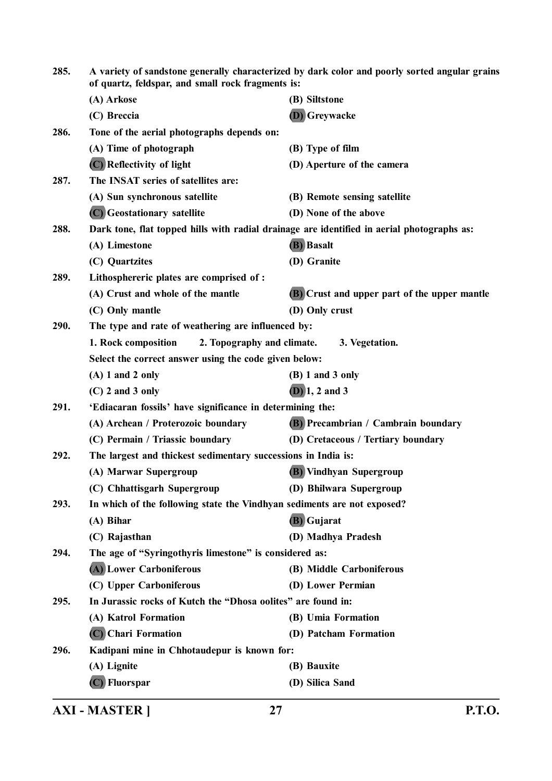| 285. | A variety of sandstone generally characterized by dark color and poorly sorted angular grains<br>of quartz, feldspar, and small rock fragments is: |                                              |  |
|------|----------------------------------------------------------------------------------------------------------------------------------------------------|----------------------------------------------|--|
|      | (A) Arkose                                                                                                                                         | (B) Siltstone                                |  |
|      | (C) Breccia                                                                                                                                        | (D) Greywacke                                |  |
| 286. | Tone of the aerial photographs depends on:                                                                                                         |                                              |  |
|      | (A) Time of photograph                                                                                                                             | (B) Type of film                             |  |
|      | (C) Reflectivity of light                                                                                                                          | (D) Aperture of the camera                   |  |
| 287. | The INSAT series of satellites are:                                                                                                                |                                              |  |
|      | (A) Sun synchronous satellite                                                                                                                      | (B) Remote sensing satellite                 |  |
|      | (C) Geostationary satellite                                                                                                                        | (D) None of the above                        |  |
| 288. | Dark tone, flat topped hills with radial drainage are identified in aerial photographs as:                                                         |                                              |  |
|      | (A) Limestone                                                                                                                                      | (B) Basalt                                   |  |
|      | (C) Quartzites                                                                                                                                     | (D) Granite                                  |  |
| 289. | Lithosphereric plates are comprised of :                                                                                                           |                                              |  |
|      | (A) Crust and whole of the mantle                                                                                                                  | (B) Crust and upper part of the upper mantle |  |
|      | (C) Only mantle                                                                                                                                    | (D) Only crust                               |  |
| 290. | The type and rate of weathering are influenced by:                                                                                                 |                                              |  |
|      | 2. Topography and climate.<br>1. Rock composition                                                                                                  | 3. Vegetation.                               |  |
|      | Select the correct answer using the code given below:                                                                                              |                                              |  |
|      | $(A)$ 1 and 2 only                                                                                                                                 | $(B) 1$ and 3 only                           |  |
|      | $(C)$ 2 and 3 only                                                                                                                                 | $(D)$ 1, 2 and 3                             |  |
| 291. | 'Ediacaran fossils' have significance in determining the:                                                                                          |                                              |  |
|      | (A) Archean / Proterozoic boundary                                                                                                                 | (B) Precambrian / Cambrain boundary          |  |
|      | (C) Permain / Triassic boundary                                                                                                                    | (D) Cretaceous / Tertiary boundary           |  |
| 292. | The largest and thickest sedimentary successions in India is:                                                                                      |                                              |  |
|      | (A) Marwar Supergroup                                                                                                                              | (B) Vindhyan Supergroup                      |  |
|      | (C) Chhattisgarh Supergroup                                                                                                                        | (D) Bhilwara Supergroup                      |  |
| 293. | In which of the following state the Vindhyan sediments are not exposed?                                                                            |                                              |  |
|      | (A) Bihar                                                                                                                                          | (B) Gujarat                                  |  |
|      | (C) Rajasthan                                                                                                                                      | (D) Madhya Pradesh                           |  |
| 294. | The age of "Syringothyris limestone" is considered as:                                                                                             |                                              |  |
|      | (A) Lower Carboniferous                                                                                                                            | (B) Middle Carboniferous                     |  |
|      | (C) Upper Carboniferous                                                                                                                            | (D) Lower Permian                            |  |
| 295. | In Jurassic rocks of Kutch the "Dhosa oolites" are found in:                                                                                       |                                              |  |
|      | (A) Katrol Formation                                                                                                                               | (B) Umia Formation                           |  |
|      | (C) Chari Formation                                                                                                                                | (D) Patcham Formation                        |  |
| 296. | Kadipani mine in Chhotaudepur is known for:                                                                                                        |                                              |  |
|      | (A) Lignite                                                                                                                                        | (B) Bauxite                                  |  |
|      | (C) Fluorspar                                                                                                                                      | (D) Silica Sand                              |  |